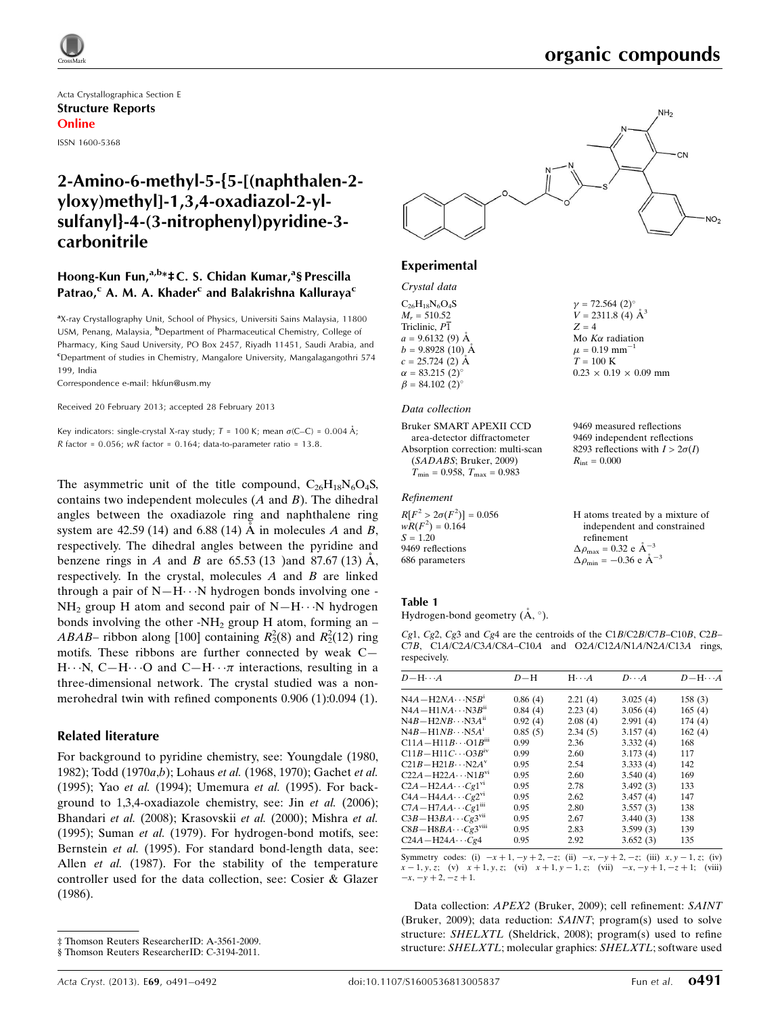Acta Crystallographica Section E Structure Reports Online ISSN 1600-5368

# 2-Amino-6-methyl-5-{5-[(naphthalen-2 yloxy)methyl]-1,3,4-oxadiazol-2-ylsulfanyl}-4-(3-nitrophenyl)pyridine-3 carbonitrile

### Hoong-Kun Fun,<sup>a,b</sup>\*‡C. S. Chidan Kumar,<sup>a</sup>§ Prescilla Patrao,<sup>c</sup> A. M. A. Khader<sup>c</sup> and Balakrishna Kalluraya<sup>c</sup>

<sup>a</sup>X-ray Crystallography Unit, School of Physics, Universiti Sains Malaysia, 11800 USM, Penang, Malaysia, <sup>b</sup>Department of Pharmaceutical Chemistry, College of Pharmacy, King Saud University, PO Box 2457, Riyadh 11451, Saudi Arabia, and c Department of studies in Chemistry, Mangalore University, Mangalagangothri 574 199, India

Correspondence e-mail: [hkfun@usm.my](https://scripts.iucr.org/cgi-bin/cr.cgi?rm=pdfbb&cnor=lh5588&bbid=BB20)

Received 20 February 2013; accepted 28 February 2013

Key indicators: single-crystal X-ray study;  $T = 100$  K; mean  $\sigma$ (C–C) = 0.004 Å; R factor =  $0.056$ ; wR factor =  $0.164$ ; data-to-parameter ratio = 13.8.

The asymmetric unit of the title compound,  $C_{26}H_{18}N_6O_4S$ , contains two independent molecules (A and B). The dihedral angles between the oxadiazole ring and naphthalene ring system are 42.59 (14) and 6.88 (14)  $\AA$  in molecules A and B, respectively. The dihedral angles between the pyridine and benzene rings in A and B are  $65.53(13)$  and  $87.67(13)$  Å, respectively. In the crystal, molecules A and B are linked through a pair of  $N-H\cdots N$  hydrogen bonds involving one - $NH_2$  group H atom and second pair of  $N-H\cdots N$  hydrogen bonds involving the other -NH<sub>2</sub> group H atom, forming an – *ABAB*– ribbon along [100] containing  $R_2^2(8)$  and  $R_2^2(12)$  ring motifs. These ribbons are further connected by weak C—  $H \cdots N$ , C-H $\cdots$ O and C-H $\cdots \pi$  interactions, resulting in a three-dimensional network. The crystal studied was a nonmerohedral twin with refined components 0.906 (1):0.094 (1).

### Related literature

For background to pyridine chemistry, see: Youngdale (1980, 1982); Todd (1970a,b); Lohaus et al. (1968, 1970); Gachet et al. (1995); Yao et al. (1994); Umemura et al. (1995). For background to 1,3,4-oxadiazole chemistry, see: Jin et al. (2006); Bhandari et al. (2008); Krasovskii et al. (2000); Mishra et al. (1995); Suman et al. (1979). For hydrogen-bond motifs, see: Bernstein et al. (1995). For standard bond-length data, see: Allen et al. (1987). For the stability of the temperature controller used for the data collection, see: Cosier & Glazer (1986).



### Experimental

### Crystal data

| $C_{6}H_{18}N_{6}O_{4}S$     |
|------------------------------|
| $M_r = 510.52$               |
| Triclinic, P1                |
| $a = 9.6132(9)$ Å            |
| $b = 9.8928(10)$ Å           |
| $c = 25.724(2)$ Å            |
| $\alpha = 83.215(2)^{\circ}$ |
| $\beta = 84.102(2)^{\circ}$  |

#### Data collection

Bruker SMART APEXII CCD area-detector diffractometer Absorption correction: multi-scan (SADABS; Bruker, 2009)  $T_{\text{min}} = 0.958, T_{\text{max}} = 0.983$ 

### Refinement

 $R[F^2 > 2\sigma(F^2)] = 0.056$  $wR(F^2) = 0.164$  $S = 1.20$ 9469 reflections 686 parameters

 $V = 2311.8$  (4)  $\AA^3$  $Z = 4$ Mo  $K\alpha$  radiation  $\mu$  = 0.19 mm<sup>-1</sup>  $T = 100 K$  $0.23 \times 0.19 \times 0.09$  mm

 $y = 72.564$  (2)<sup>o</sup>

9469 measured reflections 9469 independent reflections 8293 reflections with  $I > 2\sigma(I)$  $R_{\text{int}} = 0.000$ 

H atoms treated by a mixture of independent and constrained refinement  $\Delta \rho_{\text{max}} = 0.32 \text{ e } \text{\AA}_{\text{\tiny s}}^{-3}$  $\Delta \rho_{\text{min}} = -0.36 \text{ e A}^{-3}$ 

#### Table 1

Hydrogen-bond geometry  $(\AA, \degree)$ .

Cg1, Cg2, Cg3 and Cg4 are the centroids of the C1B/C2B/C7B–C10B, C2B– C7B, C1A/C2A/C3A/C8A–C10A and O2A/C12A/N1A/N2A/C13A rings, respecively.

| $D - H \cdots A$                        | $D-H$   | $H \cdot \cdot \cdot A$ | $D\cdots A$ | $D - H \cdots A$ |
|-----------------------------------------|---------|-------------------------|-------------|------------------|
| $N4A - H2NA \cdots N5B^i$               | 0.86(4) | 2.21(4)                 | 3.025(4)    | 158(3)           |
| $N4A - H1NA \cdots N3B^{ii}$            | 0.84(4) | 2.23(4)                 | 3.056(4)    | 165(4)           |
| $N4B - H2NB \cdots N3A^{ii}$            | 0.92(4) | 2.08(4)                 | 2.991(4)    | 174(4)           |
| $N4B - H1NB \cdots N5A^1$               | 0.85(5) | 2.34(5)                 | 3.157(4)    | 162(4)           |
| $C11A - H11B \cdots O1B^{III}$          | 0.99    | 2.36                    | 3.332(4)    | 168              |
| $C11B - H11C \cdots O3B}$ iv            | 0.99    | 2.60                    | 3.173(4)    | 117              |
| $C21B - H21B \cdots N2A^V$              | 0.95    | 2.54                    | 3.333(4)    | 142              |
| $C22A - H22A \cdots N1B^{v_1}$          | 0.95    | 2.60                    | 3.540(4)    | 169              |
| $C2A - H2AA \cdots Cg1^{v1}$            | 0.95    | 2.78                    | 3.492(3)    | 133              |
| $C4A - H4AA \cdots Cg2^{v1}$            | 0.95    | 2.62                    | 3.457(4)    | 147              |
| $C7A - H7AA \cdots Cg1$ <sup>iii</sup>  | 0.95    | 2.80                    | 3.557(3)    | 138              |
| $C3B - H3BA \cdots Cg3$ <sup>vii</sup>  | 0.95    | 2.67                    | 3.440(3)    | 138              |
| $C8B - H8BA \cdots Cg3$ <sup>viii</sup> | 0.95    | 2.83                    | 3.599(3)    | 139              |
| $C24A - H24A \cdots Cg4$                | 0.95    | 2.92                    | 3.652(3)    | 135              |

Symmetry codes: (i)  $-x + 1$ ,  $-y + 2$ ,  $-z$ ; (ii)  $-x$ ,  $-y + 2$ ,  $-z$ ; (iii)  $x, y - 1, z$ ; (iv)  $x - 1, y, z;$  (v)  $x + 1, y, z;$  (vi)  $x + 1, y - 1, z;$  (vii)  $-x, -y + 1, -z + 1;$  (viii)  $-x, -y + 2, -z + 1.$ 

Data collection: APEX2 (Bruker, 2009); cell refinement: SAINT (Bruker, 2009); data reduction: SAINT; program(s) used to solve structure: SHELXTL (Sheldrick, 2008); program(s) used to refine structure: SHELXTL; molecular graphics: SHELXTL; software used

<sup>‡</sup> Thomson Reuters ResearcherID: A-3561-2009.

<sup>§</sup> Thomson Reuters ResearcherID: C-3194-2011.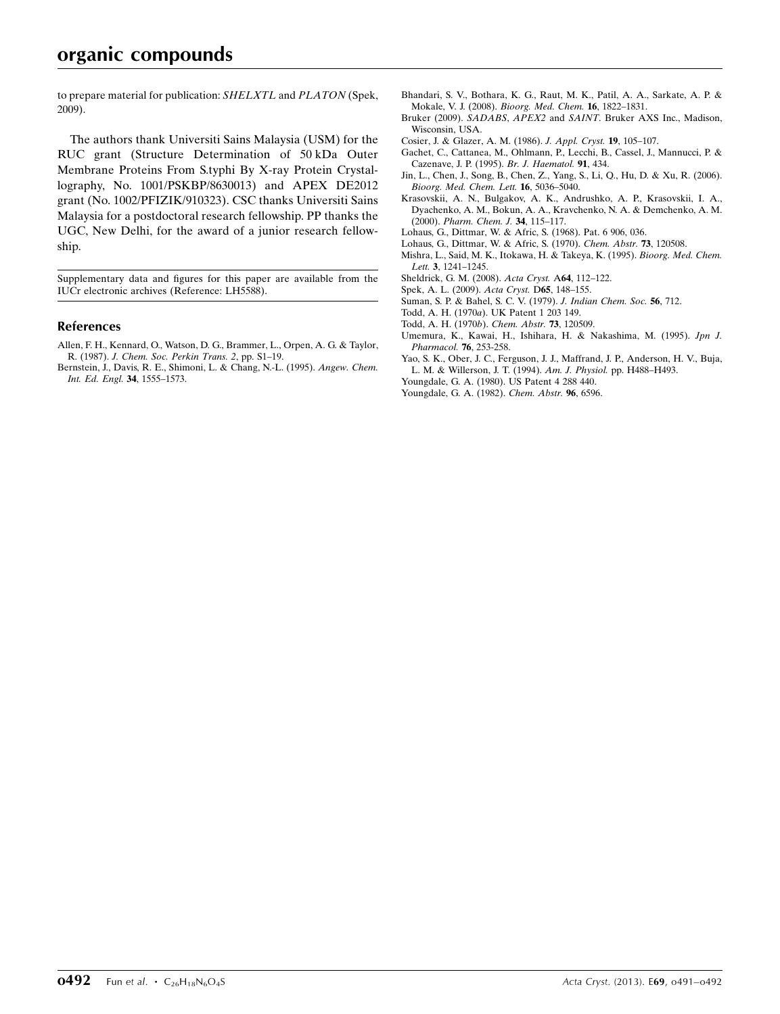to prepare material for publication: SHELXTL and PLATON (Spek, 2009).

The authors thank Universiti Sains Malaysia (USM) for the RUC grant (Structure Determination of 50 kDa Outer Membrane Proteins From S.typhi By X-ray Protein Crystallography, No. 1001/PSKBP/8630013) and APEX DE2012 grant (No. 1002/PFIZIK/910323). CSC thanks Universiti Sains Malaysia for a postdoctoral research fellowship. PP thanks the UGC, New Delhi, for the award of a junior research fellowship.

Supplementary data and figures for this paper are available from the IUCr electronic archives (Reference: LH5588).

#### References

- [Allen, F. H., Kennard, O., Watson, D. G., Brammer, L., Orpen, A. G. & Taylor,](https://scripts.iucr.org/cgi-bin/cr.cgi?rm=pdfbb&cnor=lh5588&bbid=BB1) R. (1987). [J. Chem. Soc. Perkin Trans. 2](https://scripts.iucr.org/cgi-bin/cr.cgi?rm=pdfbb&cnor=lh5588&bbid=BB1), pp. S1–19.
- [Bernstein, J., Davis, R. E., Shimoni, L. & Chang, N.-L. \(1995\).](https://scripts.iucr.org/cgi-bin/cr.cgi?rm=pdfbb&cnor=lh5588&bbid=BB2) Angew. Chem. [Int. Ed. Engl.](https://scripts.iucr.org/cgi-bin/cr.cgi?rm=pdfbb&cnor=lh5588&bbid=BB2) 34, 1555–1573.
- [Bhandari, S. V., Bothara, K. G., Raut, M. K., Patil, A. A., Sarkate, A. P. &](https://scripts.iucr.org/cgi-bin/cr.cgi?rm=pdfbb&cnor=lh5588&bbid=BB3) [Mokale, V. J. \(2008\).](https://scripts.iucr.org/cgi-bin/cr.cgi?rm=pdfbb&cnor=lh5588&bbid=BB3) Bioorg. Med. Chem. 16, 1822–1831.
- Bruker (2009). SADABS, APEX2 and SAINT[. Bruker AXS Inc., Madison,](https://scripts.iucr.org/cgi-bin/cr.cgi?rm=pdfbb&cnor=lh5588&bbid=BB4) [Wisconsin, USA.](https://scripts.iucr.org/cgi-bin/cr.cgi?rm=pdfbb&cnor=lh5588&bbid=BB4)
- [Cosier, J. & Glazer, A. M. \(1986\).](https://scripts.iucr.org/cgi-bin/cr.cgi?rm=pdfbb&cnor=lh5588&bbid=BB5) J. Appl. Cryst. 19, 105–107.
- [Gachet, C., Cattanea, M., Ohlmann, P., Lecchi, B., Cassel, J., Mannucci, P. &](https://scripts.iucr.org/cgi-bin/cr.cgi?rm=pdfbb&cnor=lh5588&bbid=BB6) [Cazenave, J. P. \(1995\).](https://scripts.iucr.org/cgi-bin/cr.cgi?rm=pdfbb&cnor=lh5588&bbid=BB6) Br. J. Haematol. 91, 434.
- [Jin, L., Chen, J., Song, B., Chen, Z., Yang, S., Li, Q., Hu, D. & Xu, R. \(2006\).](https://scripts.iucr.org/cgi-bin/cr.cgi?rm=pdfbb&cnor=lh5588&bbid=BB7) [Bioorg. Med. Chem. Lett.](https://scripts.iucr.org/cgi-bin/cr.cgi?rm=pdfbb&cnor=lh5588&bbid=BB7) 16, 5036–5040.
- [Krasovskii, A. N., Bulgakov, A. K., Andrushko, A. P., Krasovskii, I. A.,](https://scripts.iucr.org/cgi-bin/cr.cgi?rm=pdfbb&cnor=lh5588&bbid=BB8) [Dyachenko, A. M., Bokun, A. A., Kravchenko, N. A. & Demchenko, A. M.](https://scripts.iucr.org/cgi-bin/cr.cgi?rm=pdfbb&cnor=lh5588&bbid=BB8) (2000). [Pharm. Chem. J.](https://scripts.iucr.org/cgi-bin/cr.cgi?rm=pdfbb&cnor=lh5588&bbid=BB8) 34, 115–117.
- [Lohaus, G., Dittmar, W. & Afric, S. \(1968\). Pat. 6 906, 036.](https://scripts.iucr.org/cgi-bin/cr.cgi?rm=pdfbb&cnor=lh5588&bbid=BB9)
- [Lohaus, G., Dittmar, W. & Afric, S. \(1970\).](https://scripts.iucr.org/cgi-bin/cr.cgi?rm=pdfbb&cnor=lh5588&bbid=BB10) Chem. Abstr. 73, 120508.
- [Mishra, L., Said, M. K., Itokawa, H. & Takeya, K. \(1995\).](https://scripts.iucr.org/cgi-bin/cr.cgi?rm=pdfbb&cnor=lh5588&bbid=BB11) Bioorg. Med. Chem. Lett. 3[, 1241–1245.](https://scripts.iucr.org/cgi-bin/cr.cgi?rm=pdfbb&cnor=lh5588&bbid=BB11)
- [Sheldrick, G. M. \(2008\).](https://scripts.iucr.org/cgi-bin/cr.cgi?rm=pdfbb&cnor=lh5588&bbid=BB12) Acta Cryst. A64, 112–122.
- [Spek, A. L. \(2009\).](https://scripts.iucr.org/cgi-bin/cr.cgi?rm=pdfbb&cnor=lh5588&bbid=BB13) Acta Cryst. D65, 148–155.
- [Suman, S. P. & Bahel, S. C. V. \(1979\).](https://scripts.iucr.org/cgi-bin/cr.cgi?rm=pdfbb&cnor=lh5588&bbid=BB14) J. Indian Chem. Soc. 56, 712.
- Todd, A. H. (1970a[\). UK Patent 1 203 149.](https://scripts.iucr.org/cgi-bin/cr.cgi?rm=pdfbb&cnor=lh5588&bbid=BB15)
- [Todd, A. H. \(1970](https://scripts.iucr.org/cgi-bin/cr.cgi?rm=pdfbb&cnor=lh5588&bbid=BB16)b). Chem. Abstr. 73, 120509.
- [Umemura, K., Kawai, H., Ishihara, H. & Nakashima, M. \(1995\).](https://scripts.iucr.org/cgi-bin/cr.cgi?rm=pdfbb&cnor=lh5588&bbid=BB17) Jpn J. [Pharmacol.](https://scripts.iucr.org/cgi-bin/cr.cgi?rm=pdfbb&cnor=lh5588&bbid=BB17) 76, 253-258.
- [Yao, S. K., Ober, J. C., Ferguson, J. J., Maffrand, J. P., Anderson, H. V., Buja,](https://scripts.iucr.org/cgi-bin/cr.cgi?rm=pdfbb&cnor=lh5588&bbid=BB18) [L. M. & Willerson, J. T. \(1994\).](https://scripts.iucr.org/cgi-bin/cr.cgi?rm=pdfbb&cnor=lh5588&bbid=BB18) Am. J. Physiol. pp. H488–H493.
- [Youngdale, G. A. \(1980\). US Patent 4 288 440.](https://scripts.iucr.org/cgi-bin/cr.cgi?rm=pdfbb&cnor=lh5588&bbid=BB19)
- [Youngdale, G. A. \(1982\).](https://scripts.iucr.org/cgi-bin/cr.cgi?rm=pdfbb&cnor=lh5588&bbid=BB20) Chem. Abstr. 96, 6596.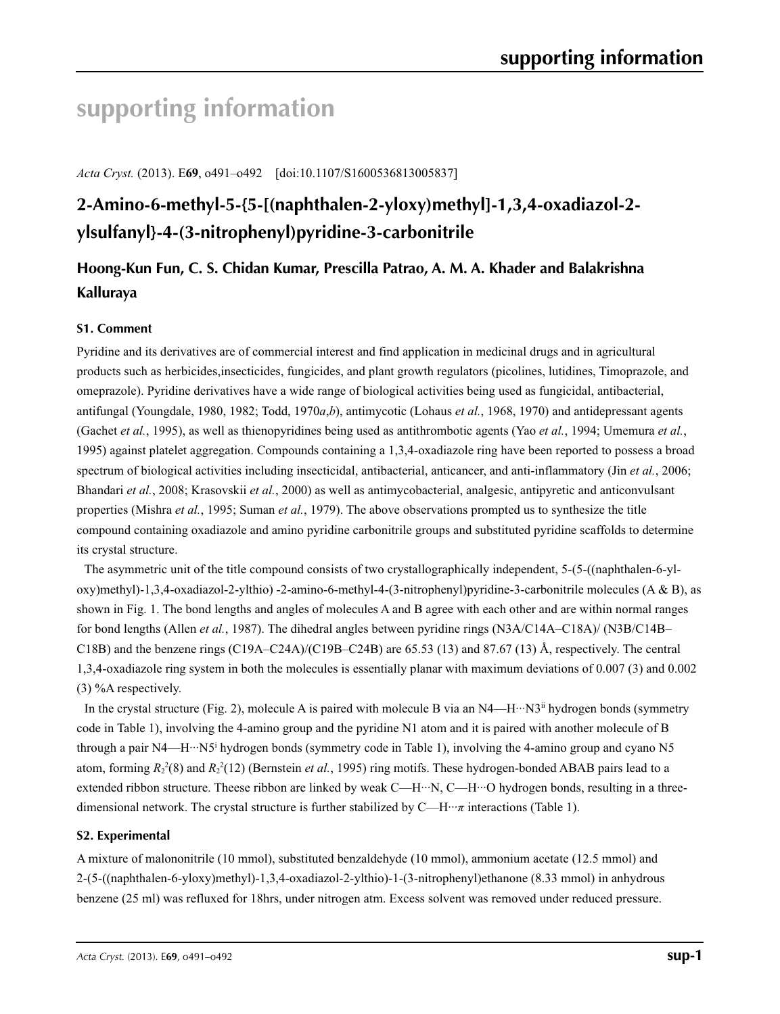# **supporting information**

*Acta Cryst.* (2013). E**69**, o491–o492 [doi:10.1107/S1600536813005837]

# **2-Amino-6-methyl-5-{5-[(naphthalen-2-yloxy)methyl]-1,3,4-oxadiazol-2 ylsulfanyl}-4-(3-nitrophenyl)pyridine-3-carbonitrile**

# **Hoong-Kun Fun, C. S. Chidan Kumar, Prescilla Patrao, A. M. A. Khader and Balakrishna Kalluraya**

### **S1. Comment**

Pyridine and its derivatives are of commercial interest and find application in medicinal drugs and in agricultural products such as herbicides,insecticides, fungicides, and plant growth regulators (picolines, lutidines, Timoprazole, and omeprazole). Pyridine derivatives have a wide range of biological activities being used as fungicidal, antibacterial, antifungal (Youngdale, 1980, 1982; Todd, 1970*a*,*b*), antimycotic (Lohaus *et al.*, 1968, 1970) and antidepressant agents (Gachet *et al.*, 1995), as well as thienopyridines being used as antithrombotic agents (Yao *et al.*, 1994; Umemura *et al.*, 1995) against platelet aggregation. Compounds containing a 1,3,4-oxadiazole ring have been reported to possess a broad spectrum of biological activities including insecticidal, antibacterial, anticancer, and anti-inflammatory (Jin *et al.*, 2006; Bhandari *et al.*, 2008; Krasovskii *et al.*, 2000) as well as antimycobacterial, analgesic, antipyretic and anticonvulsant properties (Mishra *et al.*, 1995; Suman *et al.*, 1979). The above observations prompted us to synthesize the title compound containing oxadiazole and amino pyridine carbonitrile groups and substituted pyridine scaffolds to determine its crystal structure.

The asymmetric unit of the title compound consists of two crystallographically independent, 5-(5-((naphthalen-6-yloxy)methyl)-1,3,4-oxadiazol-2-ylthio) -2-amino-6-methyl-4-(3-nitrophenyl)pyridine-3-carbonitrile molecules (A & B), as shown in Fig. 1. The bond lengths and angles of molecules A and B agree with each other and are within normal ranges for bond lengths (Allen *et al.*, 1987). The dihedral angles between pyridine rings (N3A/C14A–C18A)/ (N3B/C14B– C18B) and the benzene rings (C19A–C24A)/(C19B–C24B) are 65.53 (13) and 87.67 (13) Å, respectively. The central 1,3,4-oxadiazole ring system in both the molecules is essentially planar with maximum deviations of 0.007 (3) and 0.002 (3) %A respectively.

In the crystal structure (Fig. 2), molecule A is paired with molecule B via an  $N4$ —H $\cdot \cdot \cdot N3$ <sup>ii</sup> hydrogen bonds (symmetry code in Table 1), involving the 4-amino group and the pyridine N1 atom and it is paired with another molecule of B through a pair N4—H···N5<sup>i</sup> hydrogen bonds (symmetry code in Table 1), involving the 4-amino group and cyano N5 atom, forming  $R_2^2(8)$  and  $R_2^2(12)$  (Bernstein *et al.*, 1995) ring motifs. These hydrogen-bonded ABAB pairs lead to a extended ribbon structure. Theese ribbon are linked by weak C—H···N, C—H···O hydrogen bonds, resulting in a threedimensional network. The crystal structure is further stabilized by C—H···*π* interactions (Table 1).

### **S2. Experimental**

A mixture of malononitrile (10 mmol), substituted benzaldehyde (10 mmol), ammonium acetate (12.5 mmol) and 2-(5-((naphthalen-6-yloxy)methyl)-1,3,4-oxadiazol-2-ylthio)-1-(3-nitrophenyl)ethanone (8.33 mmol) in anhydrous benzene (25 ml) was refluxed for 18hrs, under nitrogen atm. Excess solvent was removed under reduced pressure.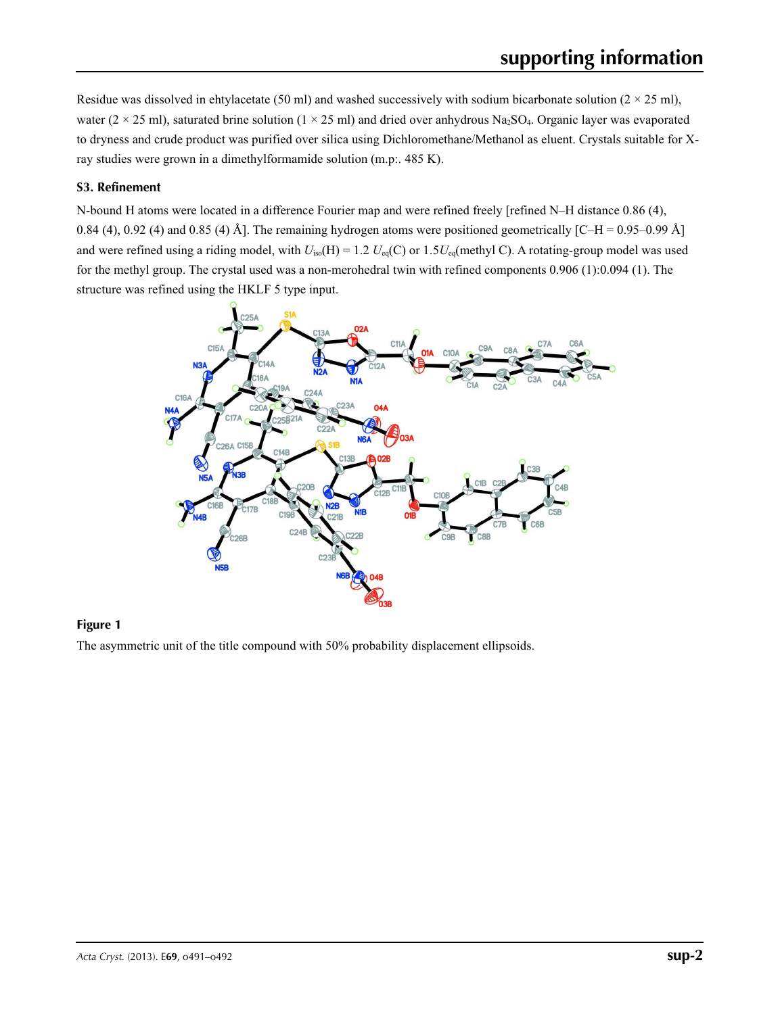Residue was dissolved in ehtylacetate (50 ml) and washed successively with sodium bicarbonate solution ( $2 \times 25$  ml), water ( $2 \times 25$  ml), saturated brine solution ( $1 \times 25$  ml) and dried over anhydrous Na<sub>2</sub>SO<sub>4</sub>. Organic layer was evaporated to dryness and crude product was purified over silica using Dichloromethane/Methanol as eluent. Crystals suitable for Xray studies were grown in a dimethylformamide solution (m.p:. 485 K).

### **S3. Refinement**

N-bound H atoms were located in a difference Fourier map and were refined freely [refined N–H distance 0.86 (4), 0.84 (4), 0.92 (4) and 0.85 (4) Å]. The remaining hydrogen atoms were positioned geometrically  $[C-H = 0.95-0.99$  Å] and were refined using a riding model, with  $U_{iso}(H) = 1.2 U_{eq}(C)$  or  $1.5U_{eq}($ methyl C). A rotating-group model was used for the methyl group. The crystal used was a non-merohedral twin with refined components 0.906 (1):0.094 (1). The structure was refined using the HKLF 5 type input.



#### **Figure 1**

The asymmetric unit of the title compound with 50% probability displacement ellipsoids.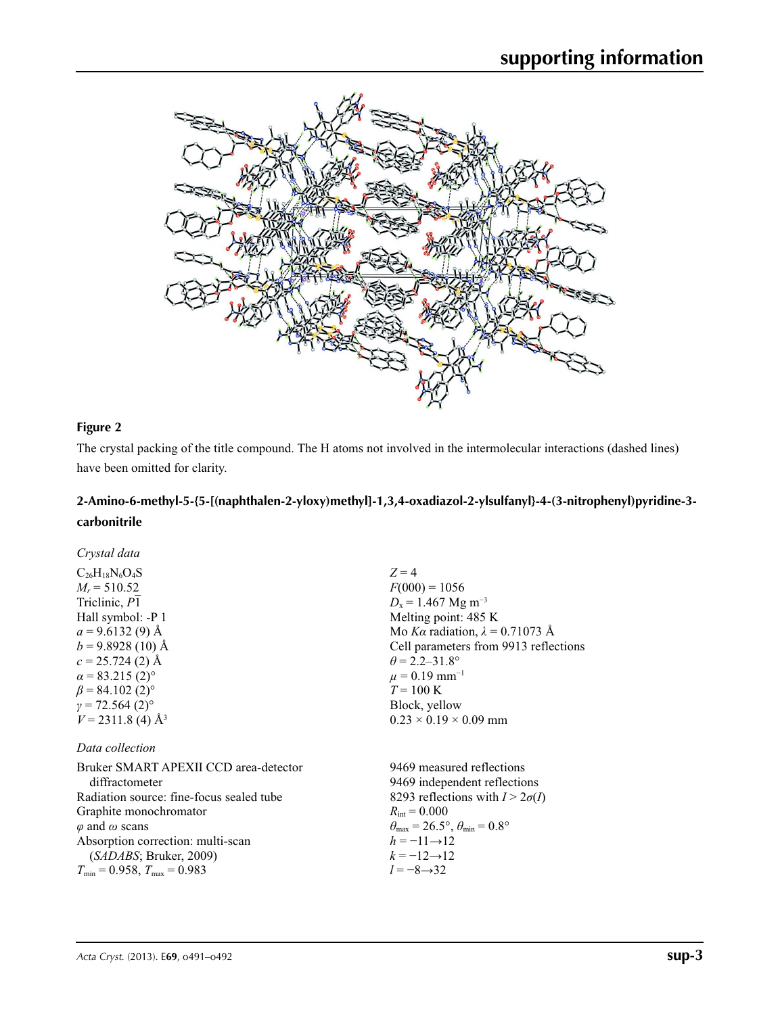

### **Figure 2**

The crystal packing of the title compound. The H atoms not involved in the intermolecular interactions (dashed lines) have been omitted for clarity.

## **2-Amino-6-methyl-5-{5-[(naphthalen-2-yloxy)methyl]-1,3,4-oxadiazol-2-ylsulfanyl}-4-(3-nitrophenyl)pyridine-3 carbonitrile**

| Crystal data                          |                                        |
|---------------------------------------|----------------------------------------|
| $C_{26}H_{18}N_6O_4S$                 | $Z=4$                                  |
| $M_r = 510.52$                        | $F(000) = 1056$                        |
| Triclinic, $\overline{P1}$            | $D_x = 1.467$ Mg m <sup>-3</sup>       |
| Hall symbol: -P 1                     | Melting point: 485 K                   |
| $a = 9.6132(9)$ Å                     | Mo Ka radiation, $\lambda = 0.71073$ Å |
| $b = 9.8928(10)$ Å                    | Cell parameters from 9913 reflections  |
| $c = 25.724(2)$ Å                     | $\theta$ = 2.2–31.8°                   |
| $\alpha$ = 83.215 (2) <sup>o</sup>    | $\mu = 0.19$ mm <sup>-1</sup>          |
| $\beta$ = 84.102 (2) <sup>o</sup>     | $T = 100 \text{ K}$                    |
| $y = 72.564(2)$ °                     | Block, yellow                          |
| $V = 2311.8$ (4) Å <sup>3</sup>       | $0.23 \times 0.19 \times 0.09$ mm      |
| Data collection                       |                                        |
| Bruker SMART APEXII CCD area-detector | 9469 measured reflections              |
|                                       |                                        |

| Bruker SMART APEXII CCD area-detector    | 9469 measured reflections                                               |
|------------------------------------------|-------------------------------------------------------------------------|
| diffractometer                           | 9469 independent reflections                                            |
| Radiation source: fine-focus sealed tube | 8293 reflections with $I > 2\sigma(I)$                                  |
| Graphite monochromator                   | $R_{\rm int} = 0.000$                                                   |
| $\varphi$ and $\omega$ scans             | $\theta_{\text{max}} = 26.5^{\circ}, \theta_{\text{min}} = 0.8^{\circ}$ |
| Absorption correction: multi-scan        | $h = -11 \rightarrow 12$                                                |
| (SADABS; Bruker, 2009)                   | $k = -12 \rightarrow 12$                                                |
| $T_{\min}$ = 0.958, $T_{\max}$ = 0.983   | $l = -8 \rightarrow 32$                                                 |
|                                          |                                                                         |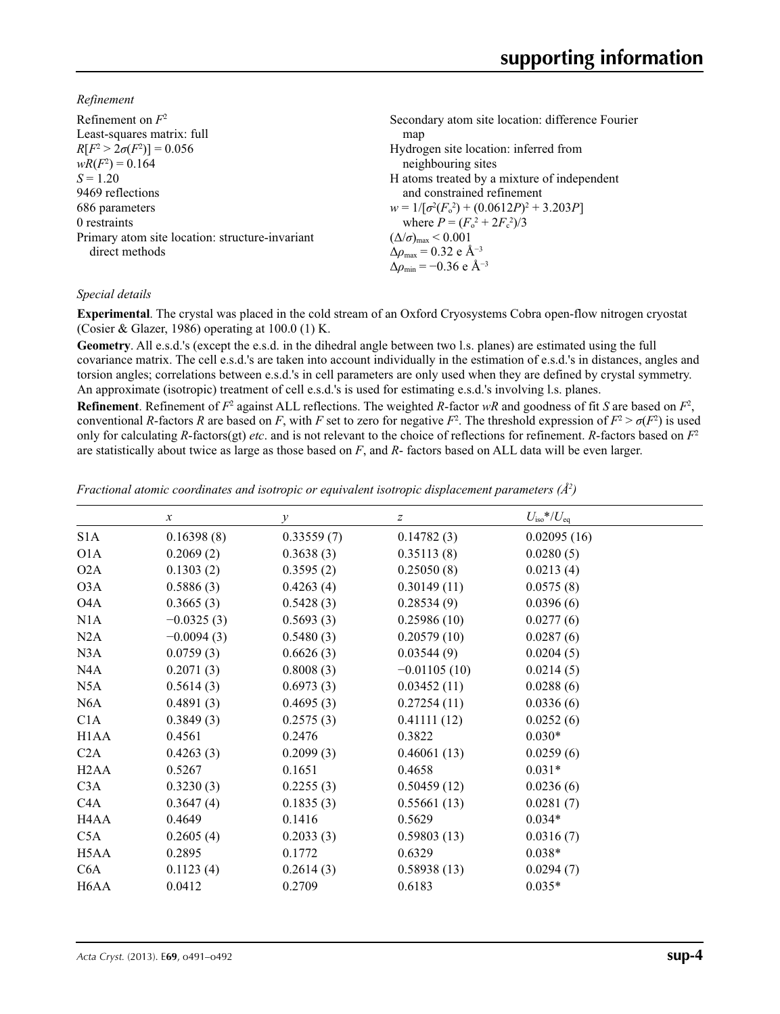*Refinement*

| Secondary atom site location: difference Fourier   |
|----------------------------------------------------|
| map                                                |
| Hydrogen site location: inferred from              |
| neighbouring sites                                 |
| H atoms treated by a mixture of independent        |
| and constrained refinement                         |
| $w = 1/[\sigma^2(F_0^2) + (0.0612P)^2 + 3.203P]$   |
| where $P = (F_0^2 + 2F_c^2)/3$                     |
| $(\Delta/\sigma)_{\text{max}}$ < 0.001             |
| $\Delta\rho_{\text{max}} = 0.32$ e Å <sup>-3</sup> |
| $\Delta\rho_{\rm min} = -0.36$ e Å <sup>-3</sup>   |
|                                                    |

### *Special details*

**Experimental**. The crystal was placed in the cold stream of an Oxford Cryosystems Cobra open-flow nitrogen cryostat (Cosier & Glazer, 1986) operating at 100.0 (1) K.

**Geometry**. All e.s.d.'s (except the e.s.d. in the dihedral angle between two l.s. planes) are estimated using the full covariance matrix. The cell e.s.d.'s are taken into account individually in the estimation of e.s.d.'s in distances, angles and torsion angles; correlations between e.s.d.'s in cell parameters are only used when they are defined by crystal symmetry. An approximate (isotropic) treatment of cell e.s.d.'s is used for estimating e.s.d.'s involving l.s. planes.

**Refinement**. Refinement of  $F^2$  against ALL reflections. The weighted *R*-factor  $wR$  and goodness of fit *S* are based on  $F^2$ , conventional *R*-factors *R* are based on *F*, with *F* set to zero for negative *F*<sup>2</sup>. The threshold expression of  $F^2 > \sigma(F^2)$  is used only for calculating *R*-factors(gt) *etc*. and is not relevant to the choice of reflections for refinement. *R*-factors based on *F*<sup>2</sup> are statistically about twice as large as those based on *F*, and *R*- factors based on ALL data will be even larger.

*Fractional atomic coordinates and isotropic or equivalent isotropic displacement parameters (Å<sup>2</sup>)* 

|                               | $\boldsymbol{\chi}$ | $\mathcal{Y}$ | $\boldsymbol{Z}$ | $U_{\rm iso}*/U_{\rm eq}$ |
|-------------------------------|---------------------|---------------|------------------|---------------------------|
| S <sub>1</sub> A              | 0.16398(8)          | 0.33559(7)    | 0.14782(3)       | 0.02095(16)               |
| O <sub>1</sub> A              | 0.2069(2)           | 0.3638(3)     | 0.35113(8)       | 0.0280(5)                 |
| O2A                           | 0.1303(2)           | 0.3595(2)     | 0.25050(8)       | 0.0213(4)                 |
| O3A                           | 0.5886(3)           | 0.4263(4)     | 0.30149(11)      | 0.0575(8)                 |
| O <sub>4</sub> A              | 0.3665(3)           | 0.5428(3)     | 0.28534(9)       | 0.0396(6)                 |
| N1A                           | $-0.0325(3)$        | 0.5693(3)     | 0.25986(10)      | 0.0277(6)                 |
| N2A                           | $-0.0094(3)$        | 0.5480(3)     | 0.20579(10)      | 0.0287(6)                 |
| N3A                           | 0.0759(3)           | 0.6626(3)     | 0.03544(9)       | 0.0204(5)                 |
| NAA                           | 0.2071(3)           | 0.8008(3)     | $-0.01105(10)$   | 0.0214(5)                 |
| N5A                           | 0.5614(3)           | 0.6973(3)     | 0.03452(11)      | 0.0288(6)                 |
| N <sub>6</sub> A              | 0.4891(3)           | 0.4695(3)     | 0.27254(11)      | 0.0336(6)                 |
| C1A                           | 0.3849(3)           | 0.2575(3)     | 0.41111(12)      | 0.0252(6)                 |
| H <sub>1</sub> A <sub>A</sub> | 0.4561              | 0.2476        | 0.3822           | $0.030*$                  |
| C2A                           | 0.4263(3)           | 0.2099(3)     | 0.46061(13)      | 0.0259(6)                 |
| H <sub>2</sub> A <sub>A</sub> | 0.5267              | 0.1651        | 0.4658           | $0.031*$                  |
| C3A                           | 0.3230(3)           | 0.2255(3)     | 0.50459(12)      | 0.0236(6)                 |
| C <sub>4</sub> A              | 0.3647(4)           | 0.1835(3)     | 0.55661(13)      | 0.0281(7)                 |
| H <sub>4</sub> A <sub>A</sub> | 0.4649              | 0.1416        | 0.5629           | $0.034*$                  |
| C5A                           | 0.2605(4)           | 0.2033(3)     | 0.59803(13)      | 0.0316(7)                 |
| H5AA                          | 0.2895              | 0.1772        | 0.6329           | $0.038*$                  |
| C <sub>6</sub> A              | 0.1123(4)           | 0.2614(3)     | 0.58938(13)      | 0.0294(7)                 |
| H <sub>6</sub> A <sub>A</sub> | 0.0412              | 0.2709        | 0.6183           | $0.035*$                  |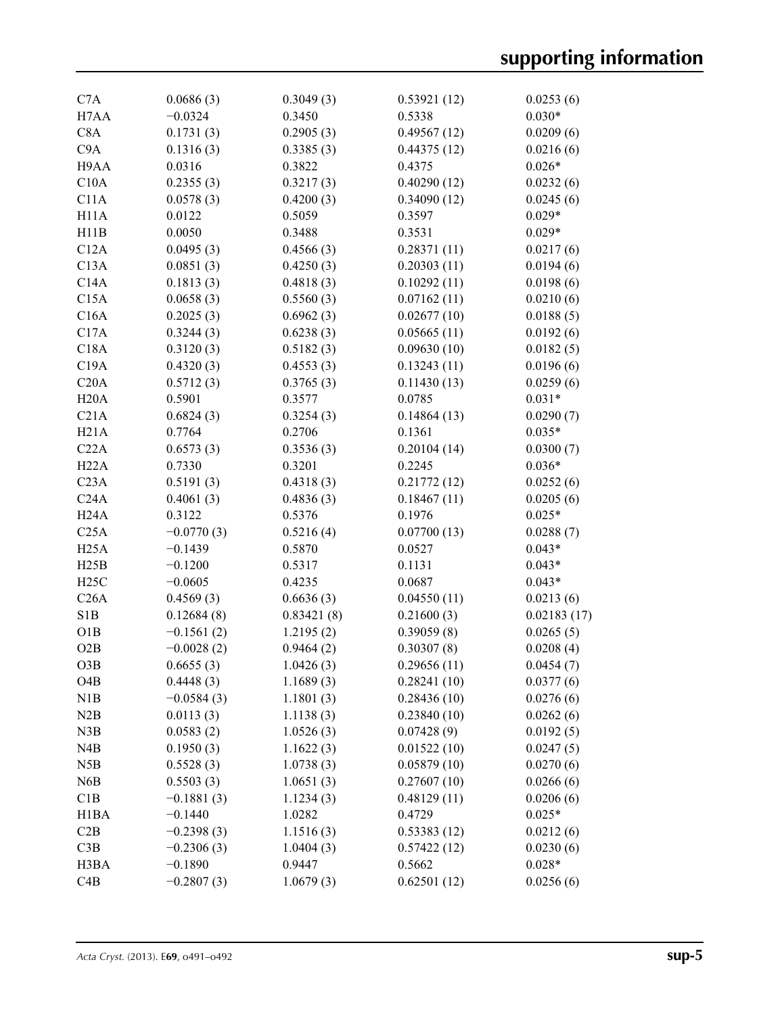| C7A               | 0.0686(3)    | 0.3049(3)  | 0.53921(12) | 0.0253(6)   |
|-------------------|--------------|------------|-------------|-------------|
| H7AA              | $-0.0324$    | 0.3450     | 0.5338      | $0.030*$    |
| C8A               | 0.1731(3)    | 0.2905(3)  | 0.49567(12) | 0.0209(6)   |
| C <sub>9</sub> A  | 0.1316(3)    | 0.3385(3)  | 0.44375(12) | 0.0216(6)   |
| H9AA              | 0.0316       | 0.3822     | 0.4375      | $0.026*$    |
| C10A              | 0.2355(3)    | 0.3217(3)  | 0.40290(12) | 0.0232(6)   |
| C11A              | 0.0578(3)    | 0.4200(3)  | 0.34090(12) | 0.0245(6)   |
| H <sub>11</sub> A | 0.0122       | 0.5059     | 0.3597      | $0.029*$    |
| H11B              | 0.0050       | 0.3488     | 0.3531      | $0.029*$    |
| C12A              | 0.0495(3)    | 0.4566(3)  | 0.28371(11) | 0.0217(6)   |
| C13A              | 0.0851(3)    | 0.4250(3)  | 0.20303(11) | 0.0194(6)   |
| C14A              | 0.1813(3)    | 0.4818(3)  | 0.10292(11) | 0.0198(6)   |
| C15A              | 0.0658(3)    | 0.5560(3)  | 0.07162(11) | 0.0210(6)   |
| C16A              | 0.2025(3)    | 0.6962(3)  | 0.02677(10) | 0.0188(5)   |
| C17A              | 0.3244(3)    | 0.6238(3)  | 0.05665(11) | 0.0192(6)   |
| C18A              | 0.3120(3)    | 0.5182(3)  | 0.09630(10) | 0.0182(5)   |
| C19A              | 0.4320(3)    | 0.4553(3)  | 0.13243(11) | 0.0196(6)   |
| C20A              | 0.5712(3)    | 0.3765(3)  | 0.11430(13) | 0.0259(6)   |
| H20A              | 0.5901       | 0.3577     | 0.0785      | $0.031*$    |
| C21A              | 0.6824(3)    | 0.3254(3)  | 0.14864(13) | 0.0290(7)   |
| H21A              | 0.7764       | 0.2706     | 0.1361      | $0.035*$    |
| C22A              | 0.6573(3)    | 0.3536(3)  | 0.20104(14) | 0.0300(7)   |
| H22A              | 0.7330       | 0.3201     | 0.2245      | $0.036*$    |
| C <sub>23A</sub>  | 0.5191(3)    | 0.4318(3)  | 0.21772(12) | 0.0252(6)   |
| C24A              | 0.4061(3)    | 0.4836(3)  | 0.18467(11) | 0.0205(6)   |
| H <sub>24</sub> A | 0.3122       | 0.5376     | 0.1976      | $0.025*$    |
| C25A              | $-0.0770(3)$ | 0.5216(4)  | 0.07700(13) | 0.0288(7)   |
| H25A              | $-0.1439$    | 0.5870     | 0.0527      | $0.043*$    |
| H25B              | $-0.1200$    | 0.5317     | 0.1131      | $0.043*$    |
| H25C              | $-0.0605$    | 0.4235     | 0.0687      | $0.043*$    |
| C26A              | 0.4569(3)    | 0.6636(3)  | 0.04550(11) | 0.0213(6)   |
| S1B               | 0.12684(8)   | 0.83421(8) | 0.21600(3)  | 0.02183(17) |
| O1B               | $-0.1561(2)$ | 1.2195(2)  | 0.39059(8)  | 0.0265(5)   |
| O2B               | $-0.0028(2)$ | 0.9464(2)  | 0.30307(8)  | 0.0208(4)   |
| O3B               | 0.6655(3)    | 1.0426(3)  | 0.29656(11) | 0.0454(7)   |
| O <sub>4</sub> B  | 0.4448(3)    | 1.1689(3)  | 0.28241(10) | 0.0377(6)   |
| N1B               | $-0.0584(3)$ | 1.1801(3)  | 0.28436(10) | 0.0276(6)   |
| N2B               | 0.0113(3)    | 1.1138(3)  | 0.23840(10) | 0.0262(6)   |
| N3B               | 0.0583(2)    | 1.0526(3)  | 0.07428(9)  | 0.0192(5)   |
| N4B               | 0.1950(3)    | 1.1622(3)  | 0.01522(10) | 0.0247(5)   |
| N5B               | 0.5528(3)    | 1.0738(3)  | 0.05879(10) | 0.0270(6)   |
| N <sub>6</sub> B  | 0.5503(3)    | 1.0651(3)  | 0.27607(10) | 0.0266(6)   |
| C1B               | $-0.1881(3)$ | 1.1234(3)  | 0.48129(11) | 0.0206(6)   |
| H1BA              | $-0.1440$    | 1.0282     | 0.4729      | $0.025*$    |
| C2B               | $-0.2398(3)$ | 1.1516(3)  | 0.53383(12) | 0.0212(6)   |
| C3B               | $-0.2306(3)$ | 1.0404(3)  | 0.57422(12) | 0.0230(6)   |
| H3BA              | $-0.1890$    | 0.9447     | 0.5662      | $0.028*$    |
| C4B               | $-0.2807(3)$ | 1.0679(3)  | 0.62501(12) | 0.0256(6)   |
|                   |              |            |             |             |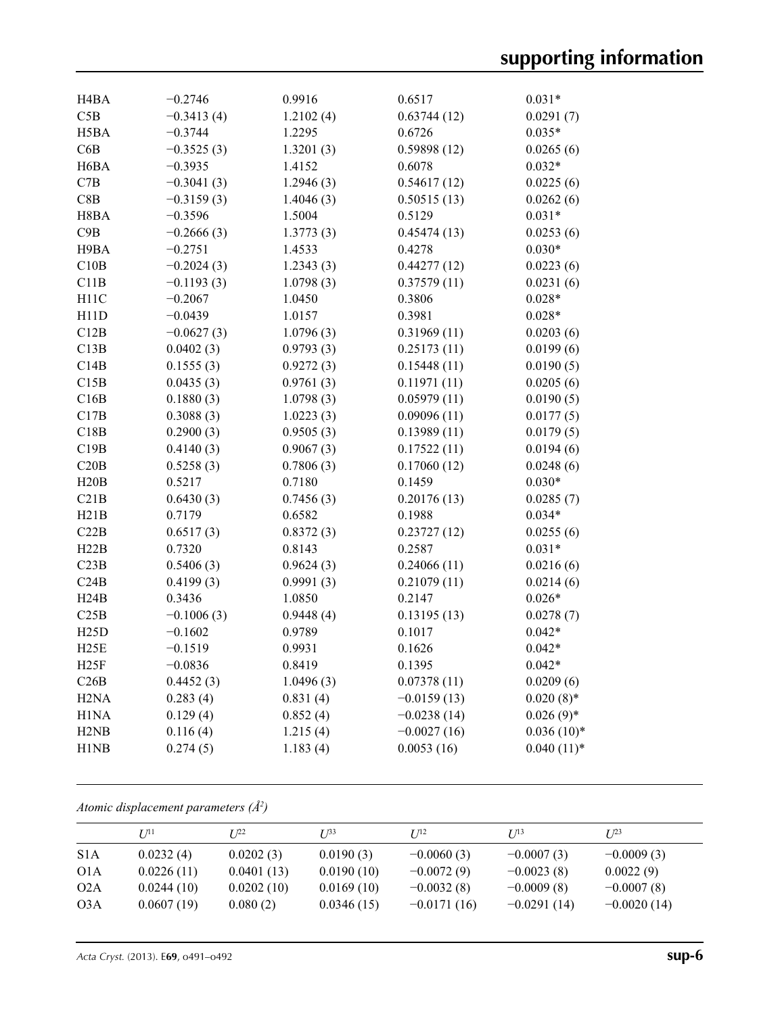| H <sub>4</sub> BA             | $-0.2746$    | 0.9916    | 0.6517        | $0.031*$     |
|-------------------------------|--------------|-----------|---------------|--------------|
| C5B                           | $-0.3413(4)$ | 1.2102(4) | 0.63744(12)   | 0.0291(7)    |
| H5BA                          | $-0.3744$    | 1.2295    | 0.6726        | $0.035*$     |
| C6B                           | $-0.3525(3)$ | 1.3201(3) | 0.59898(12)   | 0.0265(6)    |
| H <sub>6</sub> BA             | $-0.3935$    | 1.4152    | 0.6078        | $0.032*$     |
| C7B                           | $-0.3041(3)$ | 1.2946(3) | 0.54617(12)   | 0.0225(6)    |
| C8B                           | $-0.3159(3)$ | 1.4046(3) | 0.50515(13)   | 0.0262(6)    |
| H8BA                          | $-0.3596$    | 1.5004    | 0.5129        | $0.031*$     |
| C9B                           | $-0.2666(3)$ | 1.3773(3) | 0.45474(13)   | 0.0253(6)    |
| H9BA                          | $-0.2751$    | 1.4533    | 0.4278        | $0.030*$     |
| C10B                          | $-0.2024(3)$ | 1.2343(3) | 0.44277(12)   | 0.0223(6)    |
| C11B                          | $-0.1193(3)$ | 1.0798(3) | 0.37579(11)   | 0.0231(6)    |
| H11C                          | $-0.2067$    | 1.0450    | 0.3806        | $0.028*$     |
| H11D                          | $-0.0439$    | 1.0157    | 0.3981        | $0.028*$     |
| C12B                          | $-0.0627(3)$ | 1.0796(3) | 0.31969(11)   | 0.0203(6)    |
| C13B                          | 0.0402(3)    | 0.9793(3) | 0.25173(11)   | 0.0199(6)    |
| C14B                          | 0.1555(3)    | 0.9272(3) | 0.15448(11)   | 0.0190(5)    |
| C15B                          | 0.0435(3)    | 0.9761(3) | 0.11971(11)   | 0.0205(6)    |
| C16B                          | 0.1880(3)    | 1.0798(3) | 0.05979(11)   | 0.0190(5)    |
| C17B                          | 0.3088(3)    | 1.0223(3) | 0.09096(11)   | 0.0177(5)    |
| C18B                          | 0.2900(3)    | 0.9505(3) | 0.13989(11)   | 0.0179(5)    |
| C19B                          | 0.4140(3)    | 0.9067(3) | 0.17522(11)   | 0.0194(6)    |
| C20B                          | 0.5258(3)    | 0.7806(3) | 0.17060(12)   | 0.0248(6)    |
| H20B                          | 0.5217       | 0.7180    | 0.1459        | $0.030*$     |
| C21B                          | 0.6430(3)    | 0.7456(3) | 0.20176(13)   | 0.0285(7)    |
| H21B                          | 0.7179       | 0.6582    | 0.1988        | $0.034*$     |
| C22B                          | 0.6517(3)    | 0.8372(3) | 0.23727(12)   | 0.0255(6)    |
| H22B                          | 0.7320       | 0.8143    | 0.2587        | $0.031*$     |
| C23B                          | 0.5406(3)    | 0.9624(3) | 0.24066(11)   | 0.0216(6)    |
| C24B                          | 0.4199(3)    | 0.9991(3) | 0.21079(11)   | 0.0214(6)    |
| H24B                          | 0.3436       | 1.0850    | 0.2147        | $0.026*$     |
| C25B                          | $-0.1006(3)$ | 0.9448(4) | 0.13195(13)   | 0.0278(7)    |
| H25D                          | $-0.1602$    | 0.9789    | 0.1017        | $0.042*$     |
| H25E                          | $-0.1519$    | 0.9931    | 0.1626        | $0.042*$     |
| H25F                          | $-0.0836$    | 0.8419    | 0.1395        | $0.042*$     |
| C26B                          | 0.4452(3)    | 1.0496(3) | 0.07378(11)   | 0.0209(6)    |
| H <sub>2</sub> N <sub>A</sub> | 0.283(4)     | 0.831(4)  | $-0.0159(13)$ | $0.020(8)$ * |
| H1NA                          | 0.129(4)     | 0.852(4)  | $-0.0238(14)$ | $0.026(9)$ * |
| H <sub>2</sub> N <sub>B</sub> | 0.116(4)     | 1.215(4)  | $-0.0027(16)$ | $0.036(10)*$ |
| H1NB                          | 0.274(5)     | 1.183(4)  | 0.0053(16)    | $0.040(11)*$ |
|                               |              |           |               |              |

*Atomic displacement parameters (Å2 )*

|                  | I/11       | T 122      | $I^{\beta 3}$ | I/I <sup>2</sup> | I/13          | $I^{23}$      |
|------------------|------------|------------|---------------|------------------|---------------|---------------|
| S <sub>1</sub> A | 0.0232(4)  | 0.0202(3)  | 0.0190(3)     | $-0.0060(3)$     | $-0.0007(3)$  | $-0.0009(3)$  |
| O <sub>1</sub> A | 0.0226(11) | 0.0401(13) | 0.0190(10)    | $-0.0072(9)$     | $-0.0023(8)$  | 0.0022(9)     |
| O2A              | 0.0244(10) | 0.0202(10) | 0.0169(10)    | $-0.0032(8)$     | $-0.0009(8)$  | $-0.0007(8)$  |
| O3A              | 0.0607(19) | 0.080(2)   | 0.0346(15)    | $-0.0171(16)$    | $-0.0291(14)$ | $-0.0020(14)$ |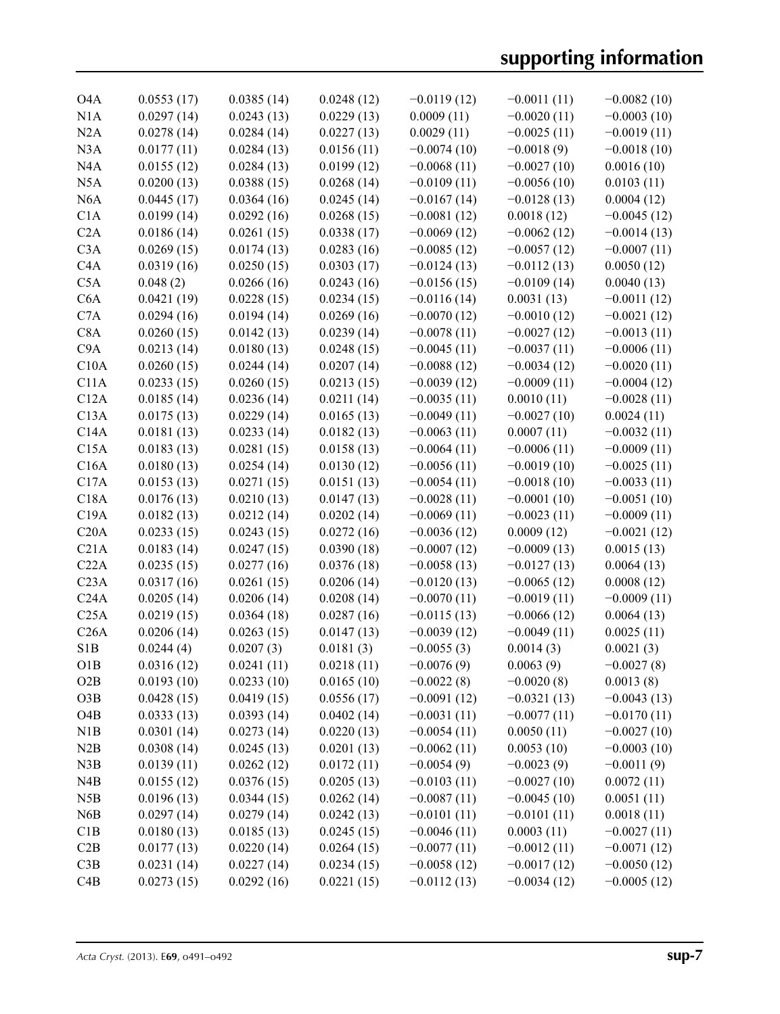| O4A              | 0.0553(17) | 0.0385(14) | 0.0248(12) | $-0.0119(12)$ | $-0.0011(11)$ | $-0.0082(10)$ |
|------------------|------------|------------|------------|---------------|---------------|---------------|
| N1A              | 0.0297(14) | 0.0243(13) | 0.0229(13) | 0.0009(11)    | $-0.0020(11)$ | $-0.0003(10)$ |
| N2A              | 0.0278(14) | 0.0284(14) | 0.0227(13) | 0.0029(11)    | $-0.0025(11)$ | $-0.0019(11)$ |
| N <sub>3</sub> A | 0.0177(11) | 0.0284(13) | 0.0156(11) | $-0.0074(10)$ | $-0.0018(9)$  | $-0.0018(10)$ |
| N <sub>4</sub> A | 0.0155(12) | 0.0284(13) | 0.0199(12) | $-0.0068(11)$ | $-0.0027(10)$ | 0.0016(10)    |
| N <sub>5</sub> A | 0.0200(13) | 0.0388(15) | 0.0268(14) | $-0.0109(11)$ | $-0.0056(10)$ | 0.0103(11)    |
| N <sub>6</sub> A | 0.0445(17) | 0.0364(16) | 0.0245(14) | $-0.0167(14)$ | $-0.0128(13)$ | 0.0004(12)    |
| C1A              | 0.0199(14) | 0.0292(16) | 0.0268(15) | $-0.0081(12)$ | 0.0018(12)    | $-0.0045(12)$ |
| C2A              | 0.0186(14) | 0.0261(15) | 0.0338(17) | $-0.0069(12)$ | $-0.0062(12)$ | $-0.0014(13)$ |
| C3A              | 0.0269(15) | 0.0174(13) | 0.0283(16) | $-0.0085(12)$ | $-0.0057(12)$ | $-0.0007(11)$ |
| C4A              | 0.0319(16) | 0.0250(15) | 0.0303(17) | $-0.0124(13)$ | $-0.0112(13)$ | 0.0050(12)    |
| C5A              | 0.048(2)   | 0.0266(16) | 0.0243(16) | $-0.0156(15)$ | $-0.0109(14)$ | 0.0040(13)    |
| C6A              | 0.0421(19) | 0.0228(15) | 0.0234(15) | $-0.0116(14)$ | 0.0031(13)    | $-0.0011(12)$ |
| C7A              | 0.0294(16) | 0.0194(14) | 0.0269(16) | $-0.0070(12)$ | $-0.0010(12)$ | $-0.0021(12)$ |
| C8A              | 0.0260(15) | 0.0142(13) | 0.0239(14) | $-0.0078(11)$ | $-0.0027(12)$ | $-0.0013(11)$ |
| C <sub>9</sub> A | 0.0213(14) | 0.0180(13) | 0.0248(15) | $-0.0045(11)$ | $-0.0037(11)$ | $-0.0006(11)$ |
| C10A             | 0.0260(15) | 0.0244(14) | 0.0207(14) | $-0.0088(12)$ | $-0.0034(12)$ | $-0.0020(11)$ |
| C11A             | 0.0233(15) | 0.0260(15) | 0.0213(15) | $-0.0039(12)$ | $-0.0009(11)$ | $-0.0004(12)$ |
| C12A             | 0.0185(14) | 0.0236(14) | 0.0211(14) | $-0.0035(11)$ | 0.0010(11)    | $-0.0028(11)$ |
| C13A             | 0.0175(13) | 0.0229(14) | 0.0165(13) | $-0.0049(11)$ | $-0.0027(10)$ | 0.0024(11)    |
| C14A             | 0.0181(13) | 0.0233(14) | 0.0182(13) | $-0.0063(11)$ | 0.0007(11)    | $-0.0032(11)$ |
| C15A             | 0.0183(13) | 0.0281(15) | 0.0158(13) | $-0.0064(11)$ | $-0.0006(11)$ | $-0.0009(11)$ |
| C16A             | 0.0180(13) | 0.0254(14) | 0.0130(12) | $-0.0056(11)$ | $-0.0019(10)$ | $-0.0025(11)$ |
| C17A             | 0.0153(13) | 0.0271(15) | 0.0151(13) | $-0.0054(11)$ | $-0.0018(10)$ | $-0.0033(11)$ |
| C18A             | 0.0176(13) | 0.0210(13) | 0.0147(13) | $-0.0028(11)$ | $-0.0001(10)$ | $-0.0051(10)$ |
| C19A             | 0.0182(13) | 0.0212(14) | 0.0202(14) | $-0.0069(11)$ | $-0.0023(11)$ | $-0.0009(11)$ |
| C20A             | 0.0233(15) | 0.0243(15) | 0.0272(16) | $-0.0036(12)$ | 0.0009(12)    | $-0.0021(12)$ |
| C21A             | 0.0183(14) | 0.0247(15) | 0.0390(18) | $-0.0007(12)$ | $-0.0009(13)$ | 0.0015(13)    |
| C22A             | 0.0235(15) | 0.0277(16) | 0.0376(18) | $-0.0058(13)$ | $-0.0127(13)$ | 0.0064(13)    |
| C <sub>23A</sub> | 0.0317(16) | 0.0261(15) | 0.0206(14) | $-0.0120(13)$ | $-0.0065(12)$ | 0.0008(12)    |
| C24A             | 0.0205(14) | 0.0206(14) | 0.0208(14) | $-0.0070(11)$ | $-0.0019(11)$ | $-0.0009(11)$ |
| C25A             | 0.0219(15) | 0.0364(18) | 0.0287(16) | $-0.0115(13)$ | $-0.0066(12)$ | 0.0064(13)    |
| C26A             | 0.0206(14) | 0.0263(15) | 0.0147(13) | $-0.0039(12)$ | $-0.0049(11)$ | 0.0025(11)    |
| S <sub>1</sub> B | 0.0244(4)  | 0.0207(3)  | 0.0181(3)  | $-0.0055(3)$  | 0.0014(3)     | 0.0021(3)     |
| O1B              | 0.0316(12) | 0.0241(11) | 0.0218(11) | $-0.0076(9)$  | 0.0063(9)     | $-0.0027(8)$  |
| O2B              | 0.0193(10) | 0.0233(10) | 0.0165(10) | $-0.0022(8)$  | $-0.0020(8)$  | 0.0013(8)     |
| O3B              | 0.0428(15) | 0.0419(15) | 0.0556(17) | $-0.0091(12)$ | $-0.0321(13)$ | $-0.0043(13)$ |
| O <sub>4</sub> B | 0.0333(13) | 0.0393(14) | 0.0402(14) | $-0.0031(11)$ | $-0.0077(11)$ | $-0.0170(11)$ |
| N1B              | 0.0301(14) | 0.0273(14) | 0.0220(13) | $-0.0054(11)$ | 0.0050(11)    | $-0.0027(10)$ |
| N2B              | 0.0308(14) | 0.0245(13) | 0.0201(13) | $-0.0062(11)$ | 0.0053(10)    | $-0.0003(10)$ |
| N3B              | 0.0139(11) | 0.0262(12) | 0.0172(11) | $-0.0054(9)$  | $-0.0023(9)$  | $-0.0011(9)$  |
| N4B              | 0.0155(12) | 0.0376(15) | 0.0205(13) | $-0.0103(11)$ | $-0.0027(10)$ | 0.0072(11)    |
| N5B              | 0.0196(13) | 0.0344(15) | 0.0262(14) | $-0.0087(11)$ | $-0.0045(10)$ | 0.0051(11)    |
| N <sub>6</sub> B | 0.0297(14) | 0.0279(14) | 0.0242(13) | $-0.0101(11)$ | $-0.0101(11)$ | 0.0018(11)    |
| C1B              | 0.0180(13) | 0.0185(13) | 0.0245(15) | $-0.0046(11)$ | 0.0003(11)    | $-0.0027(11)$ |
| C2B              | 0.0177(13) | 0.0220(14) | 0.0264(15) | $-0.0077(11)$ | $-0.0012(11)$ | $-0.0071(12)$ |
| C3B              | 0.0231(14) | 0.0227(14) | 0.0234(15) | $-0.0058(12)$ | $-0.0017(12)$ | $-0.0050(12)$ |
| C4B              | 0.0273(15) | 0.0292(16) | 0.0221(15) | $-0.0112(13)$ | $-0.0034(12)$ | $-0.0005(12)$ |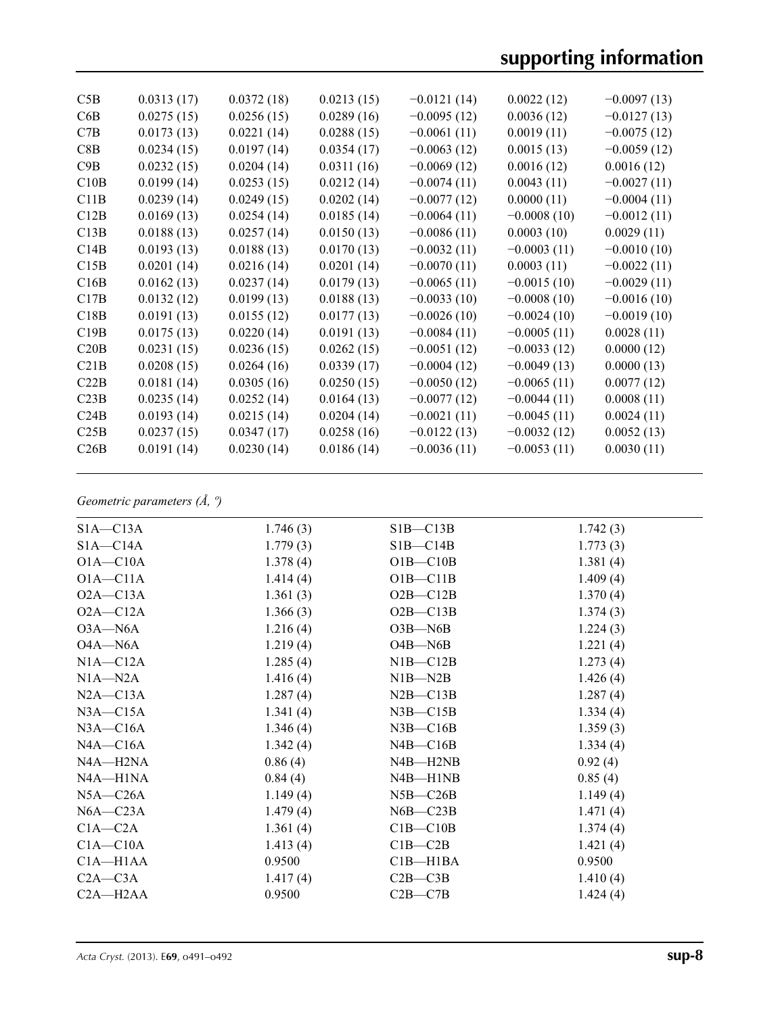| C5B  | 0.0313(17) | 0.0372(18) | 0.0213(15) | $-0.0121(14)$ | 0.0022(12)    | $-0.0097(13)$ |
|------|------------|------------|------------|---------------|---------------|---------------|
| C6B  | 0.0275(15) | 0.0256(15) | 0.0289(16) | $-0.0095(12)$ | 0.0036(12)    | $-0.0127(13)$ |
| C7B  | 0.0173(13) | 0.0221(14) | 0.0288(15) | $-0.0061(11)$ | 0.0019(11)    | $-0.0075(12)$ |
| C8B  | 0.0234(15) | 0.0197(14) | 0.0354(17) | $-0.0063(12)$ | 0.0015(13)    | $-0.0059(12)$ |
| C9B  | 0.0232(15) | 0.0204(14) | 0.0311(16) | $-0.0069(12)$ | 0.0016(12)    | 0.0016(12)    |
| C10B | 0.0199(14) | 0.0253(15) | 0.0212(14) | $-0.0074(11)$ | 0.0043(11)    | $-0.0027(11)$ |
| C11B | 0.0239(14) | 0.0249(15) | 0.0202(14) | $-0.0077(12)$ | 0.0000(11)    | $-0.0004(11)$ |
| C12B | 0.0169(13) | 0.0254(14) | 0.0185(14) | $-0.0064(11)$ | $-0.0008(10)$ | $-0.0012(11)$ |
| C13B | 0.0188(13) | 0.0257(14) | 0.0150(13) | $-0.0086(11)$ | 0.0003(10)    | 0.0029(11)    |
| C14B | 0.0193(13) | 0.0188(13) | 0.0170(13) | $-0.0032(11)$ | $-0.0003(11)$ | $-0.0010(10)$ |
| C15B | 0.0201(14) | 0.0216(14) | 0.0201(14) | $-0.0070(11)$ | 0.0003(11)    | $-0.0022(11)$ |
| C16B | 0.0162(13) | 0.0237(14) | 0.0179(13) | $-0.0065(11)$ | $-0.0015(10)$ | $-0.0029(11)$ |
| C17B | 0.0132(12) | 0.0199(13) | 0.0188(13) | $-0.0033(10)$ | $-0.0008(10)$ | $-0.0016(10)$ |
| C18B | 0.0191(13) | 0.0155(12) | 0.0177(13) | $-0.0026(10)$ | $-0.0024(10)$ | $-0.0019(10)$ |
| C19B | 0.0175(13) | 0.0220(14) | 0.0191(13) | $-0.0084(11)$ | $-0.0005(11)$ | 0.0028(11)    |
| C20B | 0.0231(15) | 0.0236(15) | 0.0262(15) | $-0.0051(12)$ | $-0.0033(12)$ | 0.0000(12)    |
| C21B | 0.0208(15) | 0.0264(16) | 0.0339(17) | $-0.0004(12)$ | $-0.0049(13)$ | 0.0000(13)    |
| C22B | 0.0181(14) | 0.0305(16) | 0.0250(15) | $-0.0050(12)$ | $-0.0065(11)$ | 0.0077(12)    |
| C23B | 0.0235(14) | 0.0252(14) | 0.0164(13) | $-0.0077(12)$ | $-0.0044(11)$ | 0.0008(11)    |
| C24B | 0.0193(14) | 0.0215(14) | 0.0204(14) | $-0.0021(11)$ | $-0.0045(11)$ | 0.0024(11)    |
| C25B | 0.0237(15) | 0.0347(17) | 0.0258(16) | $-0.0122(13)$ | $-0.0032(12)$ | 0.0052(13)    |
| C26B | 0.0191(14) | 0.0230(14) | 0.0186(14) | $-0.0036(11)$ | $-0.0053(11)$ | 0.0030(11)    |
|      |            |            |            |               |               |               |

### *Geometric parameters (Å, º)*

| $S1A - C13A$ | 1.746(3) | $SIB - C13B$ | 1.742(3) |
|--------------|----------|--------------|----------|
| $S1A - C14A$ | 1.779(3) | $SIB - C14B$ | 1.773(3) |
| $O1A - C10A$ | 1.378(4) | $O1B - C10B$ | 1.381(4) |
| $O1A - C11A$ | 1.414(4) | $O1B - C11B$ | 1.409(4) |
| $O2A - C13A$ | 1.361(3) | $O2B - C12B$ | 1.370(4) |
| $O2A - C12A$ | 1.366(3) | $O2B - C13B$ | 1.374(3) |
| $O3A - N6A$  | 1.216(4) | $O3B-M6B$    | 1.224(3) |
| $O4A - N6A$  | 1.219(4) | $O4B - N6B$  | 1.221(4) |
| $NIA - C12A$ | 1.285(4) | $NIB - C12B$ | 1.273(4) |
| $N1A - N2A$  | 1.416(4) | $N1B - N2B$  | 1.426(4) |
| $N2A - C13A$ | 1.287(4) | $N2B - C13B$ | 1.287(4) |
| $N3A - C15A$ | 1.341(4) | $N3B - C15B$ | 1.334(4) |
| $N3A - C16A$ | 1.346(4) | $N3B - C16B$ | 1.359(3) |
| NA—C16A      | 1.342(4) | $N4B - C16B$ | 1.334(4) |
| N4A-H2NA     | 0.86(4)  | N4B-H2NB     | 0.92(4)  |
| N4A-H1NA     | 0.84(4)  | N4B-H1NB     | 0.85(4)  |
| $N5A - C26A$ | 1.149(4) | $N5B - C26B$ | 1.149(4) |
| $N6A - C23A$ | 1.479(4) | $N6B - C23B$ | 1.471(4) |
| $C1A - C2A$  | 1.361(4) | $C1B - C10B$ | 1.374(4) |
| $C1A - C10A$ | 1.413(4) | $C1B - C2B$  | 1.421(4) |
| $C1A - H1AA$ | 0.9500   | $C1B - H1BA$ | 0.9500   |
| $C2A - C3A$  | 1.417(4) | $C2B - C3B$  | 1.410(4) |
| $C2A - H2AA$ | 0.9500   | $C2B - C7B$  | 1.424(4) |
|              |          |              |          |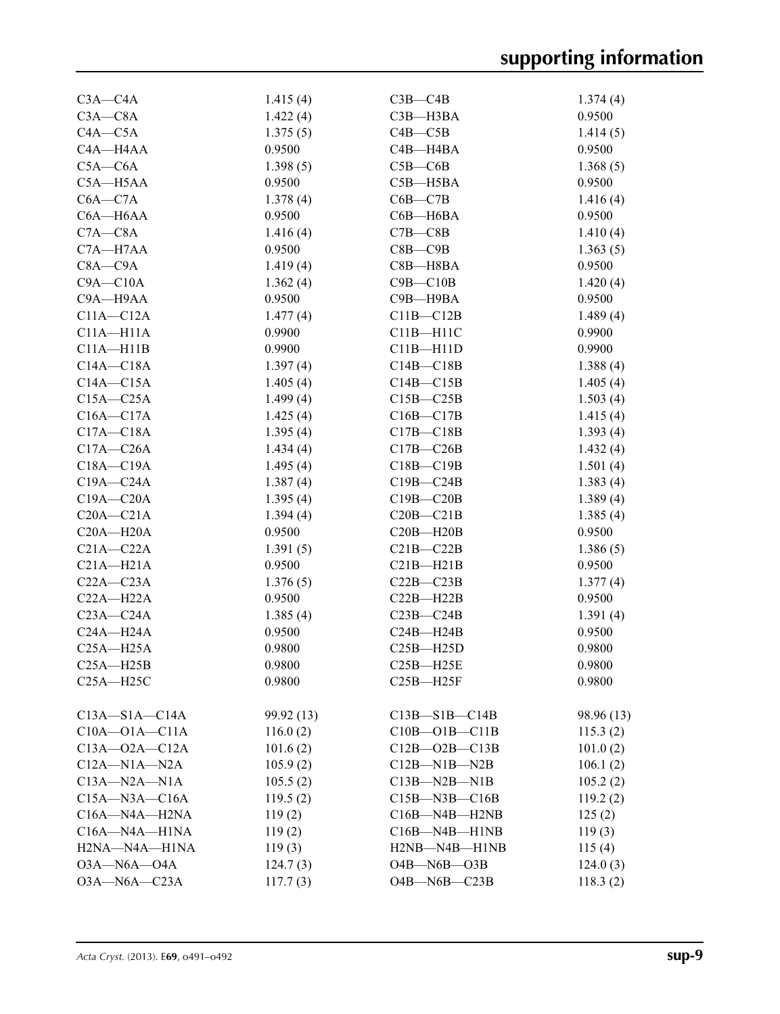| $C3A - C4A$         | 1.415(4)   | $C3B - C4B$           | 1.374(4)   |
|---------------------|------------|-----------------------|------------|
| $C3A - C8A$         | 1.422(4)   | $C3B - H3BA$          | 0.9500     |
| $C4A - C5A$         | 1.375(5)   | $C4B - C5B$           | 1.414(5)   |
| C4A-H4AA            | 0.9500     | C4B-H4BA              | 0.9500     |
| $C5A - C6A$         | 1.398(5)   | $C5B - C6B$           | 1.368(5)   |
| C5A-H5AA            | 0.9500     | $C5B - H5BA$          | 0.9500     |
| $C6A - C7A$         | 1.378(4)   | $C6B - C7B$           | 1.416(4)   |
| C6A-H6AA            | 0.9500     | C6B-H6BA              | 0.9500     |
| $C7A - C8A$         | 1.416(4)   | $C7B - C8B$           | 1.410(4)   |
| C7A-H7AA            | 0.9500     | $C8B$ — $C9B$         | 1.363(5)   |
| $C8A - C9A$         | 1.419(4)   | $C8B - H8BA$          | 0.9500     |
| $C9A - C10A$        | 1.362(4)   | $C9B - C10B$          | 1.420(4)   |
| C9A-H9AA            | 0.9500     | C9B-H9BA              | 0.9500     |
| $C11A - C12A$       | 1.477(4)   | $C11B - C12B$         | 1.489(4)   |
| $C11A - H11A$       | 0.9900     | $C11B - H11C$         | 0.9900     |
| $C11A - H11B$       | 0.9900     | $C11B - H11D$         | 0.9900     |
| $C14A - C18A$       | 1.397(4)   | $C14B - C18B$         | 1.388(4)   |
| $C14A - C15A$       | 1.405(4)   | $C14B - C15B$         | 1.405(4)   |
| $C15A - C25A$       | 1.499(4)   | $C15B - C25B$         | 1.503(4)   |
| $C16A - C17A$       | 1.425(4)   | $C16B - C17B$         | 1.415(4)   |
| $C17A - C18A$       | 1.395(4)   | $C17B - C18B$         | 1.393(4)   |
| $C17A - C26A$       | 1.434(4)   | $C17B - C26B$         | 1.432(4)   |
| $C18A - C19A$       | 1.495(4)   | $C18B - C19B$         | 1.501(4)   |
| $C19A - C24A$       | 1.387(4)   | $C19B - C24B$         | 1.383(4)   |
| $C19A - C20A$       | 1.395(4)   | $C19B - C20B$         | 1.389(4)   |
| $C20A - C21A$       | 1.394(4)   | $C20B - C21B$         | 1.385(4)   |
| $C20A - H20A$       | 0.9500     | $C20B - H20B$         | 0.9500     |
| $C21A - C22A$       | 1.391(5)   | $C21B - C22B$         | 1.386(5)   |
| $C21A - H21A$       | 0.9500     | $C21B - H21B$         | 0.9500     |
| $C22A - C23A$       | 1.376(5)   | $C22B - C23B$         | 1.377(4)   |
| $C22A - H22A$       | 0.9500     | $C22B - H22B$         | 0.9500     |
| $C23A - C24A$       | 1.385(4)   | $C23B - C24B$         | 1.391(4)   |
| $C24A - H24A$       | 0.9500     | $C24B - H24B$         | 0.9500     |
| $C25A - H25A$       | 0.9800     | $C25B - H25D$         | 0.9800     |
| $C25A - H25B$       | 0.9800     | C25B-H25E             | 0.9800     |
| $C25A - H25C$       | 0.9800     | $C25B - H25F$         | 0.9800     |
|                     |            |                       |            |
| $C13A - S1A - C14A$ | 99.92 (13) | $C13B - S1B - C14B$   | 98.96 (13) |
| $C10A - O1A - C11A$ | 116.0(2)   | $C10B - O1B - C11B$   | 115.3(2)   |
| $C13A - 02A - C12A$ | 101.6(2)   | $C12B - O2B - C13B$   | 101.0(2)   |
| $C12A - N1A - N2A$  | 105.9(2)   | $C12B-M1B-M2B$        | 106.1(2)   |
| $C13A - N2A - N1A$  | 105.5(2)   | $C13B - N2B - N1B$    | 105.2(2)   |
| $C15A - N3A - C16A$ | 119.5(2)   | $C15B$ —N3B—C16B      | 119.2(2)   |
| C16A-N4A-H2NA       | 119(2)     | $C16B$ —N4B—H2NB      | 125(2)     |
| C16A-N4A-H1NA       | 119(2)     | $C16B$ —N4B—H1NB      | 119(3)     |
| H2NA-N4A-H1NA       | 119(3)     | H2NB-N4B-H1NB         | 115(4)     |
| $O3A - N6A - O4A$   | 124.7(3)   | $O4B$ — $N6B$ — $O3B$ | 124.0(3)   |
| O3A-N6A-C23A        | 117.7(3)   | $O4B - N6B - C23B$    | 118.3(2)   |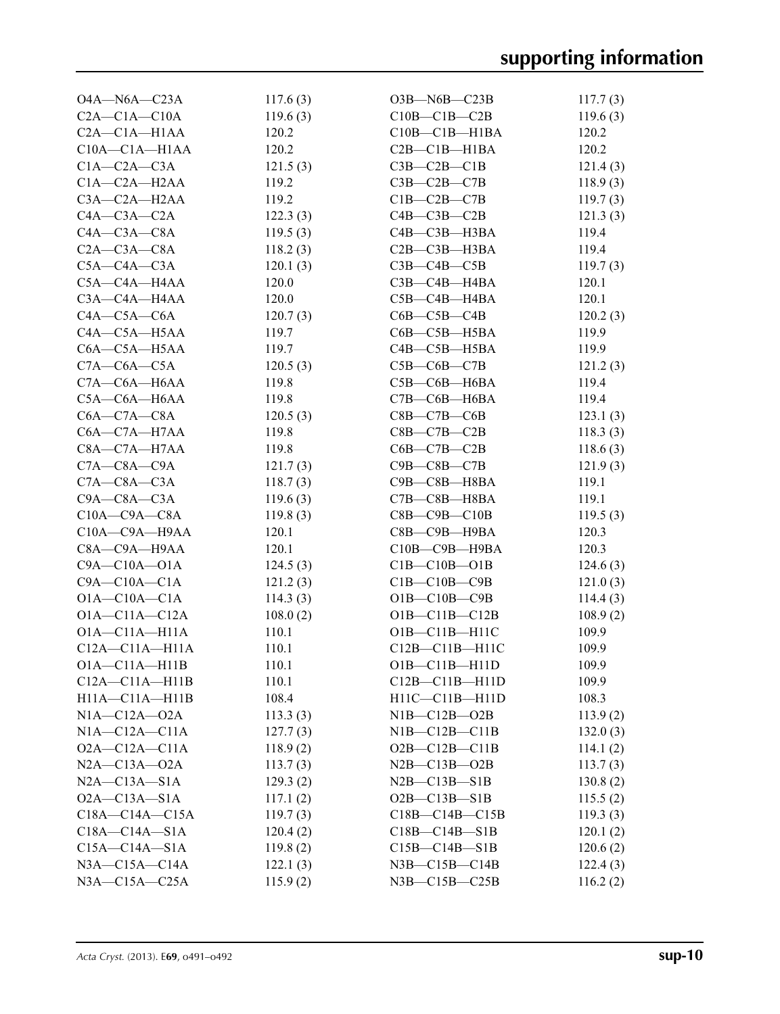| $O4A - N6A - C23A$   | 117.6(3) | $O3B$ —N6B—C23B        | 117.7(3) |
|----------------------|----------|------------------------|----------|
| $C2A - C1A - C10A$   | 119.6(3) | $C10B - C1B - C2B$     | 119.6(3) |
| $C2A - C1A - H1AA$   | 120.2    | $C10B - C1B - H1BA$    | 120.2    |
| $C10A - C1A - H1AA$  | 120.2    | $C2B - C1B - H1BA$     | 120.2    |
| $C1A - C2A - C3A$    | 121.5(3) | $C3B - C2B - C1B$      | 121.4(3) |
| $C1A - C2A - H2AA$   | 119.2    | $C3B - C2B - C7B$      | 118.9(3) |
| C3A-C2A-H2AA         | 119.2    | $C1B-C2B-C7B$          | 119.7(3) |
| $C4A - C3A - C2A$    | 122.3(3) | $C4B - C3B - C2B$      | 121.3(3) |
| $C4A - C3A - C8A$    | 119.5(3) | $C4B - C3B - H3BA$     | 119.4    |
| $C2A - C3A - C8A$    | 118.2(3) | $C2B - C3B - H3BA$     | 119.4    |
| $C5A - C4A - C3A$    | 120.1(3) | $C3B - C4B - C5B$      | 119.7(3) |
| $C5A - C4A - H4AA$   | 120.0    | $C3B - C4B - H4BA$     | 120.1    |
| $C3A - C4A - H4AA$   | 120.0    | $C5B - C4B - H4BA$     | 120.1    |
| $C4A - C5A - C6A$    | 120.7(3) | $C6B - C5B - C4B$      | 120.2(3) |
| $C4A - C5A - H5AA$   | 119.7    | $C6B - C5B - H5BA$     | 119.9    |
| $C6A - C5A - H5AA$   | 119.7    | $C4B - C5B - H5BA$     | 119.9    |
| $C7A - C6A - C5A$    | 120.5(3) | $C5B-C6B-C7B$          | 121.2(3) |
| $C7A - C6A - H6AA$   | 119.8    | $C5B$ — $C6B$ — $H6BA$ | 119.4    |
| C5A-C6A-H6AA         | 119.8    | $C7B - C6B - H6BA$     | 119.4    |
| $C6A - C7A - C8A$    | 120.5(3) | $C8B - C7B - C6B$      | 123.1(3) |
| $C6A - C7A - H7AA$   | 119.8    | $C8B - C7B - C2B$      | 118.3(3) |
| $C8A - C7A - H7AA$   | 119.8    | $C6B - C7B - C2B$      | 118.6(3) |
| $C7A - C8A - C9A$    | 121.7(3) | $C9B - C8B - C7B$      | 121.9(3) |
| $C7A - C8A - C3A$    | 118.7(3) | $C9B - C8B - H8BA$     | 119.1    |
| $C9A - C8A - C3A$    | 119.6(3) | $C7B - C8B - H8BA$     | 119.1    |
| $C10A - C9A - C8A$   | 119.8(3) | $C8B - C9B - C10B$     | 119.5(3) |
| $C10A - C9A - H9AA$  | 120.1    | $C8B$ — $C9B$ — $H9BA$ | 120.3    |
| C8A-C9A-H9AA         | 120.1    | C10B-C9B-H9BA          | 120.3    |
| $C9A - C10A - O1A$   | 124.5(3) | $C1B - C10B - O1B$     | 124.6(3) |
| $C9A - C10A - C1A$   | 121.2(3) | $C1B - C10B - C9B$     | 121.0(3) |
| $O1A - C10A - C1A$   | 114.3(3) | $O1B - C10B - C9B$     | 114.4(3) |
| $O1A - C11A - C12A$  | 108.0(2) | $O1B - C11B - C12B$    | 108.9(2) |
| $O1A - C11A - H11A$  | 110.1    | $O1B - C11B - H11C$    | 109.9    |
| $C12A - C11A - H11A$ | 110.1    | $C12B - C11B - H11C$   | 109.9    |
| $O1A - C11A - H11B$  | 110.1    | $O1B - C11B - H11D$    | 109.9    |
| $C12A - C11A - H11B$ | 110.1    | $C12B - C11B - H11D$   | 109.9    |
| $H11A - C11A - H11B$ | 108.4    | $H11C-C11B-H11D$       | 108.3    |
| $N1A - C12A - O2A$   | 113.3(3) | $NIB$ - $C12B$ - $O2B$ | 113.9(2) |
| $NIA-C12A-C11A$      | 127.7(3) | $NIB-C12B-C11B$        | 132.0(3) |
| $O2A - C12A - C11A$  | 118.9(2) | $O2B - C12B - C11B$    | 114.1(2) |
| $N2A - C13A - O2A$   | 113.7(3) | $N2B - C13B - O2B$     | 113.7(3) |
| $N2A - C13A - S1A$   | 129.3(2) | $N2B - C13B - S1B$     | 130.8(2) |
| $O2A - C13A - S1A$   | 117.1(2) | $O2B - C13B - S1B$     | 115.5(2) |
| $C18A - C14A - C15A$ | 119.7(3) | $C18B - C14B - C15B$   | 119.3(3) |
| $C18A - C14A - S1A$  | 120.4(2) | $C18B - C14B - S1B$    | 120.1(2) |
| $C15A - C14A - S1A$  | 119.8(2) | $C15B - C14B - S1B$    | 120.6(2) |
| $N3A - C15A - C14A$  | 122.1(3) | $N3B - C15B - C14B$    | 122.4(3) |
| $N3A - C15A - C25A$  | 115.9(2) | N3B-C15B-C25B          | 116.2(2) |
|                      |          |                        |          |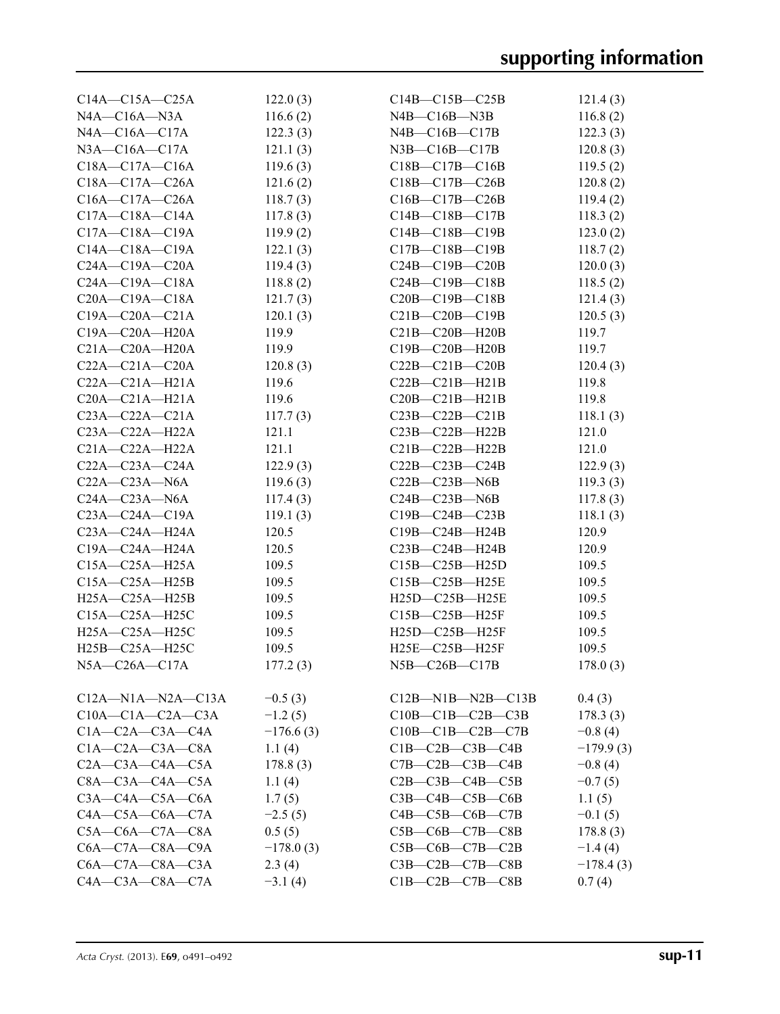| $C14A - C15A - C25A$                                  | 122.0(3)    | $C14B - C15B - C25B$          | 121.4(3)    |
|-------------------------------------------------------|-------------|-------------------------------|-------------|
| $NAA - C16A - N3A$                                    | 116.6(2)    | $N4B - C16B - N3B$            | 116.8(2)    |
| $NAA$ — $C16A$ — $C17A$                               | 122.3(3)    | $N4B - C16B - C17B$           | 122.3(3)    |
| $N3A - C16A - C17A$                                   | 121.1(3)    | $N3B$ — $C16B$ — $C17B$       | 120.8(3)    |
| $C18A - C17A - C16A$                                  | 119.6(3)    | $C18B - C17B - C16B$          | 119.5(2)    |
| $C18A - C17A - C26A$                                  | 121.6(2)    | $C18B - C17B - C26B$          | 120.8(2)    |
| $C16A - C17A - C26A$                                  | 118.7(3)    | $C16B - C17B - C26B$          | 119.4(2)    |
| $C17A - C18A - C14A$                                  | 117.8(3)    | $C14B - C18B - C17B$          | 118.3(2)    |
| $C17A - C18A - C19A$                                  | 119.9(2)    | C14B-C18B-C19B                | 123.0(2)    |
| $C14A - C18A - C19A$                                  | 122.1(3)    | $C17B - C18B - C19B$          | 118.7(2)    |
| $C24A - C19A - C20A$                                  | 119.4(3)    | $C24B - C19B - C20B$          | 120.0(3)    |
| $C24A - C19A - C18A$                                  | 118.8(2)    | $C24B - C19B - C18B$          | 118.5(2)    |
| $C20A - C19A - C18A$                                  |             | $C20B - C19B - C18B$          |             |
|                                                       | 121.7(3)    |                               | 121.4(3)    |
| $C19A - C20A - C21A$                                  | 120.1(3)    | $C21B-C20B-C19B$              | 120.5(3)    |
| $C19A - C20A - H20A$                                  | 119.9       | $C21B-C20B-H20B$              | 119.7       |
| $C21A - C20A - H20A$                                  | 119.9       | $C19B - C20B - H20B$          | 119.7       |
| $C22A - C21A - C20A$                                  | 120.8(3)    | $C22B - C21B - C20B$          | 120.4(3)    |
| $C22A - C21A - H21A$                                  | 119.6       | $C22B - C21B - H21B$          | 119.8       |
| $C20A - C21A - H21A$                                  | 119.6       | $C20B - C21B - H21B$          | 119.8       |
| $C23A - C22A - C21A$                                  | 117.7(3)    | $C23B - C22B - C21B$          | 118.1(3)    |
| $C23A - C22A - H22A$                                  | 121.1       | $C23B-C22B-H22B$              | 121.0       |
| $C21A - C22A - H22A$                                  | 121.1       | $C21B-C22B-H22B$              | 121.0       |
| $C22A - C23A - C24A$                                  | 122.9(3)    | $C22B-C23B-C24B$              | 122.9(3)    |
| $C22A - C23A - N6A$                                   | 119.6(3)    | $C22B - C23B - N6B$           | 119.3(3)    |
| $C24A - C23A - N6A$                                   | 117.4(3)    | $C24B - C23B - N6B$           | 117.8(3)    |
| $C23A - C24A - C19A$                                  | 119.1(3)    | $C19B - C24B - C23B$          | 118.1(3)    |
| $C23A - C24A - H24A$                                  | 120.5       | C19B-C24B-H24B                | 120.9       |
| C19A-C24A-H24A                                        | 120.5       | $C23B-C24B-H24B$              | 120.9       |
| C15A-C25A-H25A                                        | 109.5       | $C15B - C25B - H25D$          | 109.5       |
| $C15A - C25A - H25B$                                  | 109.5       | C15B-C25B-H25E                | 109.5       |
| H25A-C25A-H25B                                        | 109.5       | H25D-C25B-H25E                | 109.5       |
| C15A-C25A-H25C                                        | 109.5       | $C15B - C25B - H25F$          | 109.5       |
| H25A-C25A-H25C                                        | 109.5       | H25D-C25B-H25F                | 109.5       |
| H <sub>25</sub> B-C <sub>25</sub> A-H <sub>25</sub> C | 109.5       | H25E-C25B-H25F                | 109.5       |
| N5A-C26A-C17A                                         | 177.2(3)    | N5B-C26B-C17B                 | 178.0(3)    |
|                                                       |             |                               |             |
| $C12A-M1A-N2A-C13A$                                   | $-0.5(3)$   | $C12B-M1B-N2B-C13B$           | 0.4(3)      |
| $C10A - C1A - C2A - C3A$                              | $-1.2(5)$   | $C10B - C1B - C2B - C3B$      | 178.3(3)    |
| $C1A - C2A - C3A - C4A$                               | $-176.6(3)$ | $C10B - C1B - C2B - C7B$      | $-0.8(4)$   |
| $C1A - C2A - C3A - C8A$                               | 1.1(4)      | $C1B - C2B - C3B - C4B$       | $-179.9(3)$ |
| $C2A - C3A - C4A - C5A$                               | 178.8(3)    | $C7B - C2B - C3B - C4B$       | $-0.8(4)$   |
| $C8A - C3A - C4A - C5A$                               | 1.1(4)      | $C2B - C3B - C4B - C5B$       | $-0.7(5)$   |
| $C3A - C4A - C5A - C6A$                               |             | $C3B - C4B - C5B - C6B$       |             |
|                                                       | 1.7(5)      |                               | 1.1(5)      |
| $C4A - C5A - C6A - C7A$                               | $-2.5(5)$   | $C4B - C5B - C6B - C7B$       | $-0.1(5)$   |
| $C5A - C6A - C7A - C8A$                               | 0.5(5)      | $C5B$ — $C6B$ — $C7B$ — $C8B$ | 178.8(3)    |
| $C6A - C7A - C8A - C9A$                               | $-178.0(3)$ | $C5B-C6B-C7B-C2B$             | $-1.4(4)$   |
| $C6A - C7A - C8A - C3A$                               | 2.3(4)      | $C3B - C2B - C7B - C8B$       | $-178.4(3)$ |
| $C4A - C3A - C8A - C7A$                               | $-3.1(4)$   | $C1B-C2B-C7B-C8B$             | 0.7(4)      |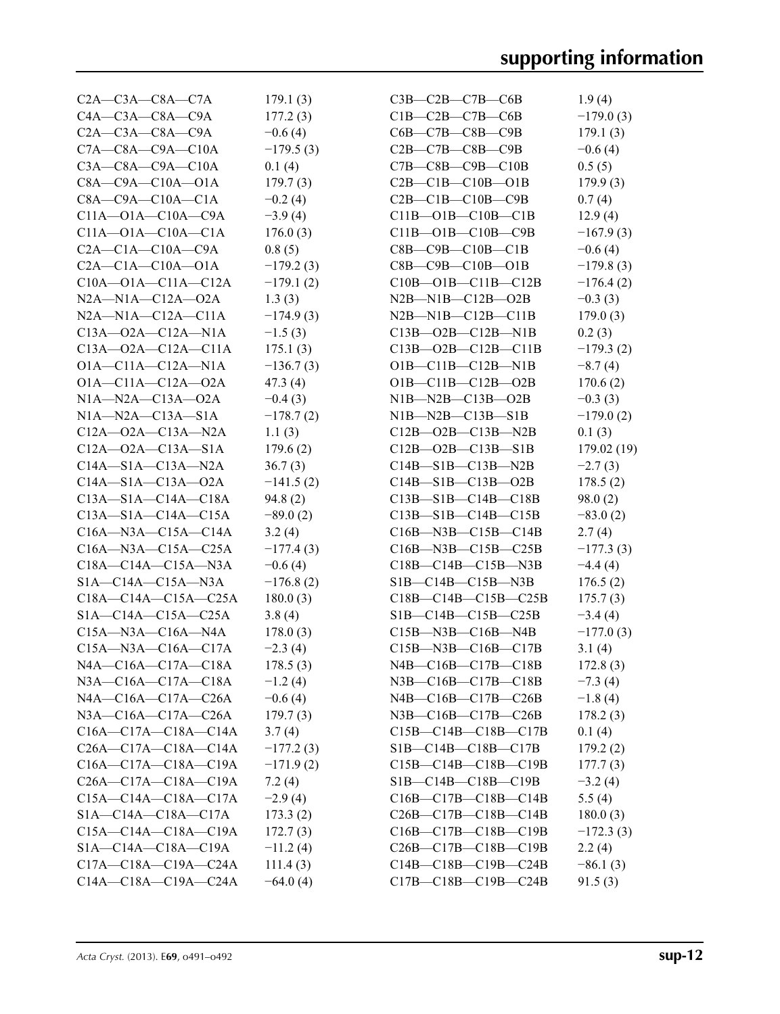| $C2A - C3A - C8A - C7A$         | 179.1(3)    | $C3B-C2B-C7B-C6B$                | 1.9(4)      |
|---------------------------------|-------------|----------------------------------|-------------|
| $C4A - C3A - C8A - C9A$         | 177.2(3)    | $C1B-C2B-C7B-C6B$                | $-179.0(3)$ |
| $C2A - C3A - C8A - C9A$         | $-0.6(4)$   | $C6B - C7B - C8B - C9B$          | 179.1(3)    |
| $C7A - C8A - C9A - C10A$        | $-179.5(3)$ | $C2B - C7B - C8B - C9B$          | $-0.6(4)$   |
| $C3A - C8A - C9A - C10A$        | 0.1(4)      | $C7B - C8B - C9B - C10B$         | 0.5(5)      |
| $C8A - C9A - C10A - O1A$        | 179.7(3)    | $C2B - C1B - C10B - O1B$         | 179.9(3)    |
| $C8A - C9A - C10A - C1A$        | $-0.2(4)$   | $C2B - C1B - C10B - C9B$         | 0.7(4)      |
| $C11A - O1A - C10A - C9A$       | $-3.9(4)$   | $C11B - O1B - C10B - C1B$        | 12.9(4)     |
| $C11A - O1A - C10A - C1A$       | 176.0(3)    | $C11B - O1B - C10B - C9B$        | $-167.9(3)$ |
| $C2A - C1A - C10A - C9A$        | 0.8(5)      | $C8B - C9B - C10B - C1B$         | $-0.6(4)$   |
| $C2A - C1A - C10A - O1A$        | $-179.2(3)$ | $C8B$ — $C9B$ — $C10B$ — $O1B$   | $-179.8(3)$ |
| $C10A - O1A - C11A - C12A$      | $-179.1(2)$ | $C10B - O1B - C11B - C12B$       | $-176.4(2)$ |
| $N2A$ — $N1A$ — $C12A$ — $O2A$  | 1.3(3)      | $N2B-M1B-C12B-02B$               | $-0.3(3)$   |
| $N2A$ — $N1A$ — $C12A$ — $C11A$ | $-174.9(3)$ | $N2B-M1B-C12B-C11B$              | 179.0(3)    |
| $C13A - 02A - C12A - N1A$       | $-1.5(3)$   | $C13B - 02B - C12B - N1B$        | 0.2(3)      |
|                                 |             |                                  |             |
| $C13A - 02A - C12A - C11A$      | 175.1(3)    | $C13B - O2B - C12B - C11B$       | $-179.3(2)$ |
| $O1A - C11A - C12A - N1A$       | $-136.7(3)$ | $O1B$ — $C11B$ — $C12B$ —N1B     | $-8.7(4)$   |
| $O1A - C11A - C12A - O2A$       | 47.3 (4)    | $O1B - C11B - C12B - O2B$        | 170.6(2)    |
| $NIA$ — $N2A$ — $C13A$ — $O2A$  | $-0.4(3)$   | $NIB-M2B-C13B-02B$               | $-0.3(3)$   |
| $N1A - N2A - C13A - S1A$        | $-178.7(2)$ | $NIB-M2B-C13B-S1B$               | $-179.0(2)$ |
| $C12A - 02A - C13A - N2A$       | 1.1(3)      | $C12B - O2B - C13B - N2B$        | 0.1(3)      |
| $C12A - 02A - C13A - S1A$       | 179.6(2)    | $C12B - O2B - C13B - S1B$        | 179.02 (19) |
| $C14A - S1A - C13A - N2A$       | 36.7(3)     | $C14B - S1B - C13B - N2B$        | $-2.7(3)$   |
| $C14A - S1A - C13A - 02A$       | $-141.5(2)$ | $C14B - S1B - C13B - O2B$        | 178.5(2)    |
| $C13A - S1A - C14A - C18A$      | 94.8(2)     | $C13B - S1B - C14B - C18B$       | 98.0(2)     |
| $C13A - S1A - C14A - C15A$      | $-89.0(2)$  | $C13B-S1B-C14B-C15B$             | $-83.0(2)$  |
| $C16A$ —N3A— $C15A$ — $C14A$    | 3.2(4)      | $C16B$ —N3B— $C15B$ —C14B        | 2.7(4)      |
| $C16A$ —N3A— $C15A$ —C25A       | $-177.4(3)$ | $C16B$ —N3B— $C15B$ —C25B        | $-177.3(3)$ |
| $C18A - C14A - C15A - N3A$      | $-0.6(4)$   | $C18B - C14B - C15B - N3B$       | $-4.4(4)$   |
| $SIA - C14A - C15A - N3A$       | $-176.8(2)$ | $SIB - C14B - C15B - N3B$        | 176.5(2)    |
| $C18A - C14A - C15A - C25A$     | 180.0(3)    | $C18B - C14B - C15B - C25B$      | 175.7(3)    |
| $S1A - C14A - C15A - C25A$      | 3.8(4)      | $SIB - C14B - C15B - C25B$       | $-3.4(4)$   |
| $C15A - N3A - C16A - N4A$       | 178.0(3)    | $C15B$ —N3B— $C16B$ —N4B         | $-177.0(3)$ |
| $C15A - N3A - C16A - C17A$      | $-2.3(4)$   | $C15B$ —N3B— $C16B$ —C17B        | 3.1(4)      |
| N4A-C16A-C17A-C18A              | 178.5(3)    | N4B—C16B—C17B—C18B               | 172.8(3)    |
| N3A-C16A-C17A-C18A              | $-1.2(4)$   | $N3B - C16B - C17B - C18B$       |             |
|                                 |             |                                  | $-7.3(4)$   |
| $NAA$ —C16A—C17A—C26A           | $-0.6(4)$   | $N4B - C16B - C17B - C26B$       | $-1.8(4)$   |
| N3A-C16A-C17A-C26A              | 179.7(3)    | $N3B$ — $C16B$ — $C17B$ — $C26B$ | 178.2(3)    |
| $C16A - C17A - C18A - C14A$     | 3.7(4)      | $C15B - C14B - C18B - C17B$      | 0.1(4)      |
| $C26A - C17A - C18A - C14A$     | $-177.2(3)$ | $SIB - C14B - C18B - C17B$       | 179.2(2)    |
| $C16A - C17A - C18A - C19A$     | $-171.9(2)$ | $C15B - C14B - C18B - C19B$      | 177.7(3)    |
| $C26A - C17A - C18A - C19A$     | 7.2(4)      | $SIB - C14B - C18B - C19B$       | $-3.2(4)$   |
| $C15A - C14A - C18A - C17A$     | $-2.9(4)$   | $C16B - C17B - C18B - C14B$      | 5.5(4)      |
| $SIA - C14A - C18A - C17A$      | 173.3(2)    | $C26B - C17B - C18B - C14B$      | 180.0(3)    |
| $C15A - C14A - C18A - C19A$     | 172.7(3)    | $C16B - C17B - C18B - C19B$      | $-172.3(3)$ |
| S1A-C14A-C18A-C19A              | $-11.2(4)$  | $C26B - C17B - C18B - C19B$      | 2.2(4)      |
| $C17A - C18A - C19A - C24A$     | 111.4(3)    | $C14B - C18B - C19B - C24B$      | $-86.1(3)$  |
| $C14A - C18A - C19A - C24A$     | $-64.0(4)$  | $C17B - C18B - C19B - C24B$      | 91.5(3)     |